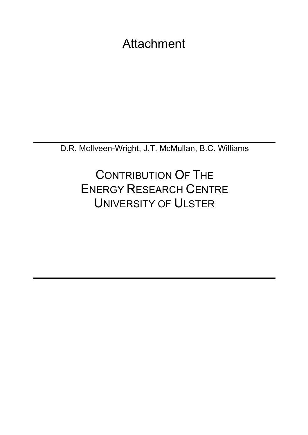Attachment

D.R. McIlveen-Wright, J.T. McMullan, B.C. Williams

CONTRIBUTION OF THE ENERGY RESEARCH CENTRE UNIVERSITY OF ULSTER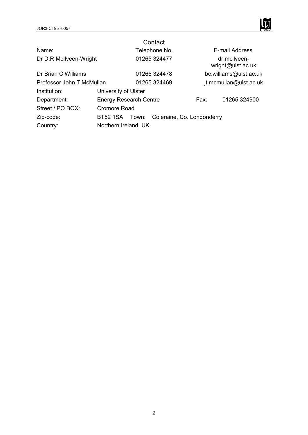

|                           |                               |       | Contact                    |              |                                   |
|---------------------------|-------------------------------|-------|----------------------------|--------------|-----------------------------------|
| Name:                     |                               |       | Telephone No.              |              | E-mail Address                    |
| Dr D.R McIlveen-Wright    |                               |       | 01265 324477               |              | dr.mcilveen-<br>wright@ulst.ac.uk |
| Dr Brian C Williams       |                               |       | 01265 324478               |              | bc.williams@ulst.ac.uk            |
| Professor John T McMullan |                               |       | 01265 324469               |              | jt.mcmullan@ulst.ac.uk            |
| Institution:              | University of Ulster          |       |                            |              |                                   |
| Department:               | <b>Energy Research Centre</b> |       | Fax:                       | 01265 324900 |                                   |
| Street / PO BOX:          | Cromore Road                  |       |                            |              |                                   |
| Zip-code:                 | <b>BT52 1SA</b>               | Town: | Coleraine, Co. Londonderry |              |                                   |
| Country:                  | Northern Ireland, UK          |       |                            |              |                                   |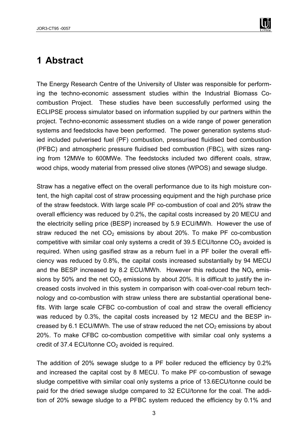## 1 Abstract

The Energy Research Centre of the University of Ulster was responsible for performing the techno-economic assessment studies within the Industrial Biomass Cocombustion Project. These studies have been successfully performed using the ECLIPSE process simulator based on information supplied by our partners within the project. Techno-economic assessment studies on a wide range of power generation systems and feedstocks have been performed. The power generation systems studied included pulverised fuel (PF) combustion, pressurised fluidised bed combustion (PFBC) and atmospheric pressure fluidised bed combustion (FBC), with sizes ranging from 12MWe to 600MWe. The feedstocks included two different coals, straw, wood chips, woody material from pressed olive stones (WPOS) and sewage sludge.

Straw has a negative effect on the overall performance due to its high moisture content, the high capital cost of straw processing equipment and the high purchase price of the straw feedstock. With large scale PF co-combustion of coal and 20% straw the overall efficiency was reduced by 0.2%, the capital costs increased by 20 MECU and the electricity selling price (BESP) increased by 5.9 ECU/MWh. However the use of straw reduced the net  $CO<sub>2</sub>$  emissions by about 20%. To make PF co-combustion competitive with similar coal only systems a credit of 39.5 ECU/tonne  $CO<sub>2</sub>$  avoided is required. When using gasified straw as a reburn fuel in a PF boiler the overall efficiency was reduced by 0.8%, the capital costs increased substantially by 94 MECU and the BESP increased by 8.2 ECU/MWh. However this reduced the  $NO<sub>x</sub>$  emissions by 50% and the net  $CO<sub>2</sub>$  emissions by about 20%. It is difficult to justify the increased costs involved in this system in comparison with coal-over-coal reburn technology and co-combustion with straw unless there are substantial operational benefits. With large scale CFBC co-combustion of coal and straw the overall efficiency was reduced by 0.3%, the capital costs increased by 12 MECU and the BESP increased by 6.1 ECU/MWh. The use of straw reduced the net  $CO<sub>2</sub>$  emissions by about 20%. To make CFBC co-combustion competitive with similar coal only systems a credit of 37.4 ECU/tonne  $CO<sub>2</sub>$  avoided is required.

The addition of 20% sewage sludge to a PF boiler reduced the efficiency by 0.2% and increased the capital cost by 8 MECU. To make PF co-combustion of sewage sludge competitive with similar coal only systems a price of 13.6ECU/tonne could be paid for the dried sewage sludge compared to 32 ECU/tonne for the coal. The addition of 20% sewage sludge to a PFBC system reduced the efficiency by 0.1% and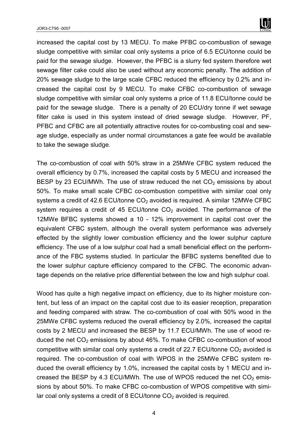increased the capital cost by 13 MECU. To make PFBC co-combustion of sewage sludge competitive with similar coal only systems a price of 6.5 ECU/tonne could be paid for the sewage sludge. However, the PFBC is a slurry fed system therefore wet sewage filter cake could also be used without any economic penalty. The addition of 20% sewage sludge to the large scale CFBC reduced the efficiency by 0.2% and increased the capital cost by 9 MECU. To make CFBC co-combustion of sewage sludge competitive with similar coal only systems a price of 11.8 ECU/tonne could be paid for the sewage sludge. There is a penalty of 20 ECU/dry tonne if wet sewage filter cake is used in this system instead of dried sewage sludge. However, PF, PFBC and CFBC are all potentially attractive routes for co-combusting coal and sewage sludge, especially as under normal circumstances a gate fee would be available to take the sewage sludge.

The co-combustion of coal with 50% straw in a 25MWe CFBC system reduced the overall efficiency by 0.7%, increased the capital costs by 5 MECU and increased the BESP by 23 ECU/MWh. The use of straw reduced the net  $CO<sub>2</sub>$  emissions by about 50%. To make small scale CFBC co-combustion competitive with similar coal only systems a credit of 42.6 ECU/tonne  $CO<sub>2</sub>$  avoided is required. A similar 12MWe CFBC system requires a credit of 45 ECU/tonne  $CO<sub>2</sub>$  avoided. The performance of the 12MWe BFBC systems showed a 10 - 12% improvement in capital cost over the equivalent CFBC system, although the overall system performance was adversely effected by the slightly lower combustion efficiency and the lower sulphur capture efficiency. The use of a low sulphur coal had a small beneficial effect on the performance of the FBC systems studied. In particular the BFBC systems benefited due to the lower sulphur capture efficiency compared to the CFBC. The economic advantage depends on the relative price differential between the low and high sulphur coal.

Wood has quite a high negative impact on efficiency, due to its higher moisture content, but less of an impact on the capital cost due to its easier reception, preparation and feeding compared with straw. The co-combustion of coal with 50% wood in the 25MWe CFBC systems reduced the overall efficiency by 2.0%, increased the capital costs by 2 MECU and increased the BESP by 11.7 ECU/MWh. The use of wood reduced the net  $CO<sub>2</sub>$  emissions by about 46%. To make CFBC co-combustion of wood competitive with similar coal only systems a credit of 22.7 ECU/tonne  $CO<sub>2</sub>$  avoided is required. The co-combustion of coal with WPOS in the 25MWe CFBC system reduced the overall efficiency by 1.0%, increased the capital costs by 1 MECU and increased the BESP by 4.3 ECU/MWh. The use of WPOS reduced the net  $CO<sub>2</sub>$  emissions by about 50%. To make CFBC co-combustion of WPOS competitive with similar coal only systems a credit of 8 ECU/tonne  $CO<sub>2</sub>$  avoided is required.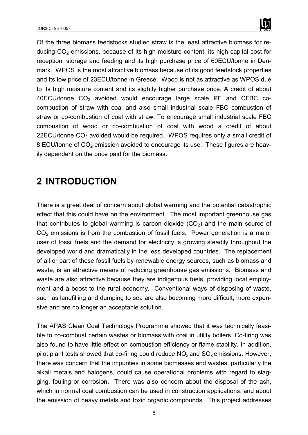Of the three biomass feedstocks studied straw is the least attractive biomass for reducing  $CO<sub>2</sub>$  emissions, because of its high moisture content, its high capital cost for reception, storage and feeding and its high purchase price of 60ECU/tonne in Denmark. WPOS is the most attractive biomass because of its good feedstock properties and its low price of 23ECU/tonne in Greece. Wood is not as attractive as WPOS due to its high moisture content and its slightly higher purchase price. A credit of about 40ECU/tonne  $CO<sub>2</sub>$  avoided would encourage large scale PF and CFBC cocombustion of straw with coal and also small industrial scale FBC combustion of straw or co-combustion of coal with straw. To encourage small industrial scale FBC combustion of wood or co-combustion of coal with wood a credit of about 22ECU/tonne  $CO<sub>2</sub>$  avoided would be required. WPOS requires only a small credit of 8 ECU/tonne of  $CO<sub>2</sub>$  emission avoided to encourage its use. These figures are heavily dependent on the price paid for the biomass.

# 2 INTRODUCTION

There is a great deal of concern about global warming and the potential catastrophic effect that this could have on the environment. The most important greenhouse gas that contributes to global warming is carbon dioxide  $(CO<sub>2</sub>)$  and the main source of  $CO<sub>2</sub>$  emissions is from the combustion of fossil fuels. Power generation is a major user of fossil fuels and the demand for electricity is growing steadily throughout the developed world and dramatically in the less developed countries. The replacement of all or part of these fossil fuels by renewable energy sources, such as biomass and waste, is an attractive means of reducing greenhouse gas emissions. Biomass and waste are also attractive because they are indigenous fuels, providing local employment and a boost to the rural economy. Conventional ways of disposing of waste, such as landfilling and dumping to sea are also becoming more difficult, more expensive and are no longer an acceptable solution.

The APAS Clean Coal Technology Programme showed that it was technically feasible to co-combust certain wastes or biomass with coal in utility boilers. Co-firing was also found to have little effect on combustion efficiency or flame stability. In addition, pilot plant tests showed that co-firing could reduce  $NO<sub>x</sub>$  and  $SO<sub>x</sub>$  emissions. However, there was concern that the impurities in some biomasses and wastes, particularly the alkali metals and halogens, could cause operational problems with regard to slagging, fouling or corrosion. There was also concern about the disposal of the ash, which in normal coal combustion can be used in construction applications, and about the emission of heavy metals and toxic organic compounds. This project addresses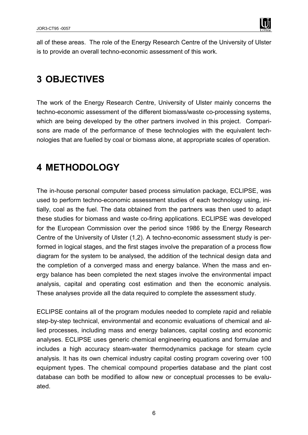

all of these areas. The role of the Energy Research Centre of the University of Ulster is to provide an overall techno-economic assessment of this work.

# 3 OBJECTIVES

The work of the Energy Research Centre, University of Ulster mainly concerns the techno-economic assessment of the different biomass/waste co-processing systems, which are being developed by the other partners involved in this project. Comparisons are made of the performance of these technologies with the equivalent technologies that are fuelled by coal or biomass alone, at appropriate scales of operation.

# 4 METHODOLOGY

The in-house personal computer based process simulation package, ECLIPSE, was used to perform techno-economic assessment studies of each technology using, initially, coal as the fuel. The data obtained from the partners was then used to adapt these studies for biomass and waste co-firing applications. ECLIPSE was developed for the European Commission over the period since 1986 by the Energy Research Centre of the University of Ulster (1,2). A techno-economic assessment study is performed in logical stages, and the first stages involve the preparation of a process flow diagram for the system to be analysed, the addition of the technical design data and the completion of a converged mass and energy balance. When the mass and energy balance has been completed the next stages involve the environmental impact analysis, capital and operating cost estimation and then the economic analysis. These analyses provide all the data required to complete the assessment study.

ECLIPSE contains all of the program modules needed to complete rapid and reliable step-by-step technical, environmental and economic evaluations of chemical and allied processes, including mass and energy balances, capital costing and economic analyses. ECLIPSE uses generic chemical engineering equations and formulae and includes a high accuracy steam-water thermodynamics package for steam cycle analysis. It has its own chemical industry capital costing program covering over 100 equipment types. The chemical compound properties database and the plant cost database can both be modified to allow new or conceptual processes to be evaluated.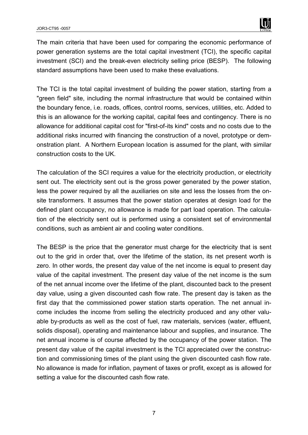The main criteria that have been used for comparing the economic performance of power generation systems are the total capital investment (TCI), the specific capital investment (SCI) and the break-even electricity selling price (BESP). The following standard assumptions have been used to make these evaluations.

The TCI is the total capital investment of building the power station, starting from a "green field" site, including the normal infrastructure that would be contained within the boundary fence, i.e. roads, offices, control rooms, services, utilities, etc. Added to this is an allowance for the working capital, capital fees and contingency. There is no allowance for additional capital cost for "first-of-its kind" costs and no costs due to the additional risks incurred with financing the construction of a novel, prototype or demonstration plant. A Northern European location is assumed for the plant, with similar construction costs to the UK.

The calculation of the SCI requires a value for the electricity production, or electricity sent out. The electricity sent out is the gross power generated by the power station, less the power required by all the auxiliaries on site and less the losses from the onsite transformers. It assumes that the power station operates at design load for the defined plant occupancy, no allowance is made for part load operation. The calculation of the electricity sent out is performed using a consistent set of environmental conditions, such as ambient air and cooling water conditions.

The BESP is the price that the generator must charge for the electricity that is sent out to the grid in order that, over the lifetime of the station, its net present worth is zero. In other words, the present day value of the net income is equal to present day value of the capital investment. The present day value of the net income is the sum of the net annual income over the lifetime of the plant, discounted back to the present day value, using a given discounted cash flow rate. The present day is taken as the first day that the commissioned power station starts operation. The net annual income includes the income from selling the electricity produced and any other valuable by-products as well as the cost of fuel, raw materials, services (water, effluent, solids disposal), operating and maintenance labour and supplies, and insurance. The net annual income is of course affected by the occupancy of the power station. The present day value of the capital investment is the TCI appreciated over the construction and commissioning times of the plant using the given discounted cash flow rate. No allowance is made for inflation, payment of taxes or profit, except as is allowed for setting a value for the discounted cash flow rate.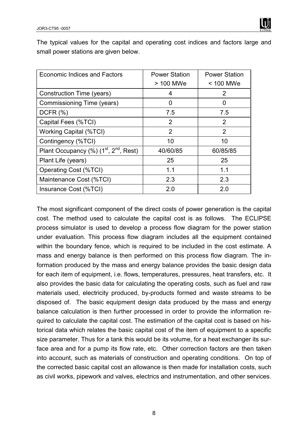The typical values for the capital and operating cost indices and factors large and small power stations are given below.

| <b>Economic Indices and Factors</b>                            | <b>Power Station</b> | <b>Power Station</b> |
|----------------------------------------------------------------|----------------------|----------------------|
|                                                                | > 100 MWe            | < 100 MWe            |
| Construction Time (years)                                      | 4                    | 2                    |
| <b>Commissioning Time (years)</b>                              | 0                    | 0                    |
| DCFR (%)                                                       | 7.5                  | 7.5                  |
| Capital Fees (%TCI)                                            | $\overline{2}$       | 2                    |
| <b>Working Capital (%TCI)</b>                                  | $\overline{2}$       | $\overline{2}$       |
| Contingency (%TCI)                                             | 10                   | 10                   |
| Plant Occupancy (%) (1 <sup>st</sup> , 2 <sup>nd</sup> , Rest) | 40/60/85             | 60/85/85             |
| Plant Life (years)                                             | 25                   | 25                   |
| <b>Operating Cost (%TCI)</b>                                   | 1.1                  | 1.1                  |
| Maintenance Cost (%TCI)                                        | 2.3                  | 2.3                  |
| Insurance Cost (%TCI)                                          | 2.0                  | 2.0                  |

The most significant component of the direct costs of power generation is the capital cost. The method used to calculate the capital cost is as follows. The ECLIPSE process simulator is used to develop a process flow diagram for the power station under evaluation. This process flow diagram includes all the equipment contained within the boundary fence, which is required to be included in the cost estimate. A mass and energy balance is then performed on this process flow diagram. The information produced by the mass and energy balance provides the basic design data for each item of equipment, i.e. flows, temperatures, pressures, heat transfers, etc. It also provides the basic data for calculating the operating costs, such as fuel and raw materials used, electricity produced, by-products formed and waste streams to be disposed of. The basic equipment design data produced by the mass and energy balance calculation is then further processed in order to provide the information required to calculate the capital cost. The estimation of the capital cost is based on historical data which relates the basic capital cost of the item of equipment to a specific size parameter. Thus for a tank this would be its volume, for a heat exchanger its surface area and for a pump its flow rate, etc. Other correction factors are then taken into account, such as materials of construction and operating conditions. On top of the corrected basic capital cost an allowance is then made for installation costs, such as civil works, pipework and valves, electrics and instrumentation, and other services.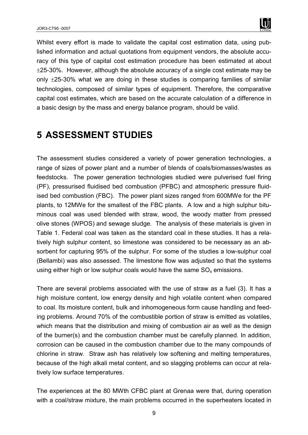

Whilst every effort is made to validate the capital cost estimation data, using published information and actual quotations from equipment vendors, the absolute accuracy of this type of capital cost estimation procedure has been estimated at about  $\pm$ 25-30%. However, although the absolute accuracy of a single cost estimate may be only  $\pm$ 25-30% what we are doing in these studies is comparing families of similar technologies, composed of similar types of equipment. Therefore, the comparative capital cost estimates, which are based on the accurate calculation of a difference in a basic design by the mass and energy balance program, should be valid.

# 5 ASSESSMENT STUDIES

The assessment studies considered a variety of power generation technologies, a range of sizes of power plant and a number of blends of coals/biomasses/wastes as feedstocks. The power generation technologies studied were pulverised fuel firing (PF), pressurised fluidised bed combustion (PFBC) and atmospheric pressure fluidised bed combustion (FBC). The power plant sizes ranged from 600MWe for the PF plants, to 12MWe for the smallest of the FBC plants. A low and a high sulphur bituminous coal was used blended with straw, wood, the woody matter from pressed olive stones (WPOS) and sewage sludge. The analysis of these materials is given in Table 1. Federal coal was taken as the standard coal in these studies. It has a relatively high sulphur content, so limestone was considered to be necessary as an absorbent for capturing 95% of the sulphur. For some of the studies a low-sulphur coal (Bellambi) was also assessed. The limestone flow was adjusted so that the systems using either high or low sulphur coals would have the same  $SO<sub>x</sub>$  emissions.

There are several problems associated with the use of straw as a fuel (3). It has a high moisture content, low energy density and high volatile content when compared to coal. Its moisture content, bulk and inhomogeneous form cause handling and feeding problems. Around 70% of the combustible portion of straw is emitted as volatiles, which means that the distribution and mixing of combustion air as well as the design of the burner(s) and the combustion chamber must be carefully planned. In addition, corrosion can be caused in the combustion chamber due to the many compounds of chlorine in straw. Straw ash has relatively low softening and melting temperatures, because of the high alkali metal content, and so slagging problems can occur at relatively low surface temperatures.

The experiences at the 80 MWth CFBC plant at Grenaa were that, during operation with a coal/straw mixture, the main problems occurred in the superheaters located in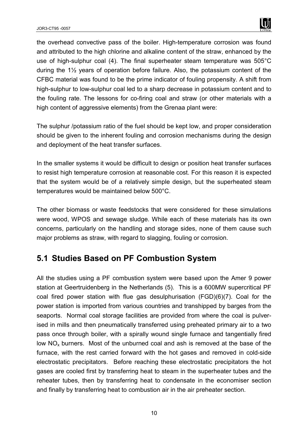

the overhead convective pass of the boiler. High-temperature corrosion was found and attributed to the high chlorine and alkaline content of the straw, enhanced by the use of high-sulphur coal (4). The final superheater steam temperature was 505°C during the 1½ years of operation before failure. Also, the potassium content of the CFBC material was found to be the prime indicator of fouling propensity. A shift from high-sulphur to low-sulphur coal led to a sharp decrease in potassium content and to the fouling rate. The lessons for co-firing coal and straw (or other materials with a high content of aggressive elements) from the Grenaa plant were:

The sulphur /potassium ratio of the fuel should be kept low, and proper consideration should be given to the inherent fouling and corrosion mechanisms during the design and deployment of the heat transfer surfaces.

In the smaller systems it would be difficult to design or position heat transfer surfaces to resist high temperature corrosion at reasonable cost. For this reason it is expected that the system would be of a relatively simple design, but the superheated steam temperatures would be maintained below 500°C.

The other biomass or waste feedstocks that were considered for these simulations were wood, WPOS and sewage sludge. While each of these materials has its own concerns, particularly on the handling and storage sides, none of them cause such major problems as straw, with regard to slagging, fouling or corrosion.

## 5.1 Studies Based on PF Combustion System

All the studies using a PF combustion system were based upon the Amer 9 power station at Geertruidenberg in the Netherlands (5). This is a 600MW supercritical PF coal fired power station with flue gas desulphurisation (FGD)(6)(7). Coal for the power station is imported from various countries and transhipped by barges from the seaports. Normal coal storage facilities are provided from where the coal is pulverised in mills and then pneumatically transferred using preheated primary air to a two pass once through boiler, with a spirally wound single furnace and tangentially fired low  $NO<sub>x</sub>$  burners. Most of the unburned coal and ash is removed at the base of the furnace, with the rest carried forward with the hot gases and removed in cold-side electrostatic precipitators. Before reaching these electrostatic precipitators the hot gases are cooled first by transferring heat to steam in the superheater tubes and the reheater tubes, then by transferring heat to condensate in the economiser section and finally by transferring heat to combustion air in the air preheater section.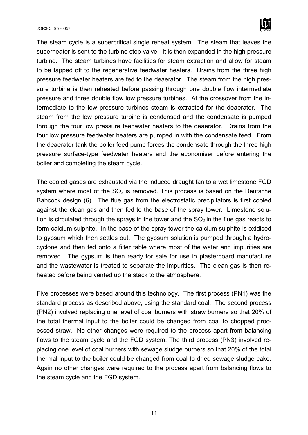The steam cycle is a supercritical single reheat system. The steam that leaves the superheater is sent to the turbine stop valve. It is then expanded in the high pressure turbine. The steam turbines have facilities for steam extraction and allow for steam to be tapped off to the regenerative feedwater heaters. Drains from the three high pressure feedwater heaters are fed to the deaerator. The steam from the high pressure turbine is then reheated before passing through one double flow intermediate pressure and three double flow low pressure turbines. At the crossover from the intermediate to the low pressure turbines steam is extracted for the deaerator. The steam from the low pressure turbine is condensed and the condensate is pumped through the four low pressure feedwater heaters to the deaerator. Drains from the four low pressure feedwater heaters are pumped in with the condensate feed. From the deaerator tank the boiler feed pump forces the condensate through the three high pressure surface-type feedwater heaters and the economiser before entering the boiler and completing the steam cycle.

The cooled gases are exhausted via the induced draught fan to a wet limestone FGD system where most of the  $SO<sub>x</sub>$  is removed. This process is based on the Deutsche Babcock design (6). The flue gas from the electrostatic precipitators is first cooled against the clean gas and then fed to the base of the spray tower. Limestone solution is circulated through the sprays in the tower and the  $SO<sub>2</sub>$  in the flue gas reacts to form calcium sulphite. In the base of the spray tower the calcium sulphite is oxidised to gypsum which then settles out. The gypsum solution is pumped through a hydrocyclone and then fed onto a filter table where most of the water and impurities are removed. The gypsum is then ready for sale for use in plasterboard manufacture and the wastewater is treated to separate the impurities. The clean gas is then reheated before being vented up the stack to the atmosphere.

Five processes were based around this technology. The first process (PN1) was the standard process as described above, using the standard coal. The second process (PN2) involved replacing one level of coal burners with straw burners so that 20% of the total thermal input to the boiler could be changed from coal to chopped processed straw. No other changes were required to the process apart from balancing flows to the steam cycle and the FGD system. The third process (PN3) involved replacing one level of coal burners with sewage sludge burners so that 20% of the total thermal input to the boiler could be changed from coal to dried sewage sludge cake. Again no other changes were required to the process apart from balancing flows to the steam cycle and the FGD system.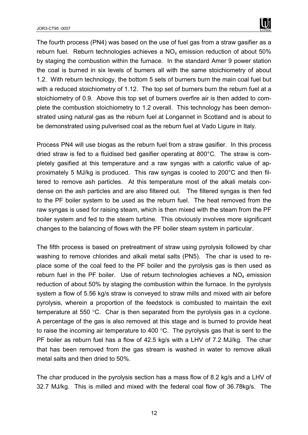The fourth process (PN4) was based on the use of fuel gas from a straw gasifier as a reburn fuel. Reburn technologies achieves a  $NO<sub>x</sub>$  emission reduction of about 50% by staging the combustion within the furnace. In the standard Amer 9 power station the coal is burned in six levels of burners all with the same stoichiometry of about 1.2. With reburn technology, the bottom 5 sets of burners burn the main coal fuel but with a reduced stoichiometry of 1.12. The top set of burners burn the reburn fuel at a stoichiometry of 0.9. Above this top set of burners overfire air is then added to complete the combustion stoichiometry to 1.2 overall. This technology has been demonstrated using natural gas as the reburn fuel at Longannet in Scotland and is about to be demonstrated using pulverised coal as the reburn fuel at Vado Ligure in Italy.

Process PN4 will use biogas as the reburn fuel from a straw gasifier. In this process dried straw is fed to a fluidised bed gasifier operating at 800°C. The straw is completely gasified at this temperature and a raw syngas with a calorific value of approximately 5 MJ/kg is produced. This raw syngas is cooled to 200°C and then filtered to remove ash particles. At this temperature most of the alkali metals condense on the ash particles and are also filtered out. The filtered syngas is then fed to the PF boiler system to be used as the reburn fuel. The heat removed from the raw syngas is used for raising steam, which is then mixed with the steam from the PF boiler system and fed to the steam turbine. This obviously involves more significant changes to the balancing of flows with the PF boiler steam system in particular.

The fifth process is based on pretreatment of straw using pyrolysis followed by char washing to remove chlorides and alkali metal salts (PN5). The char is used to replace some of the coal feed to the PF boiler and the pyrolysis gas is then used as reburn fuel in the PF boiler. Use of reburn technologies achieves a  $NO<sub>x</sub>$  emission reduction of about 50% by staging the combustion within the furnace. In the pyrolysis system a flow of 5.56 kg/s straw is conveyed to straw mills and mixed with air before pyrolysis, wherein a proportion of the feedstock is combusted to maintain the exit temperature at 550  $\degree$ C. Char is then separated from the pyrolysis gas in a cyclone. A percentage of the gas is also removed at this stage and is burned to provide heat to raise the incoming air temperature to 400  $\degree$ C. The pyrolysis gas that is sent to the PF boiler as reburn fuel has a flow of 42.5 kg/s with a LHV of 7.2 MJ/kg. The char that has been removed from the gas stream is washed in water to remove alkali metal salts and then dried to 50%.

The char produced in the pyrolysis section has a mass flow of 8.2 kg/s and a LHV of 32.7 MJ/kg. This is milled and mixed with the federal coal flow of 36.78kg/s. The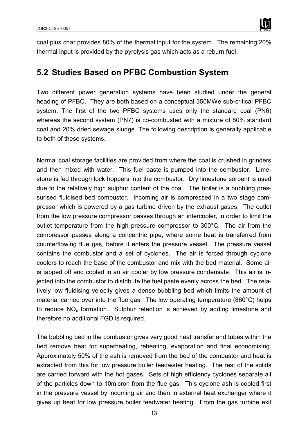

coal plus char provides 80% of the thermal input for the system. The remaining 20% thermal input is provided by the pyrolysis gas which acts as a reburn fuel.

### 5.2 Studies Based on PFBC Combustion System

Two different power generation systems have been studied under the general heading of PFBC. They are both based on a conceptual 350MWe sub-critical PFBC system. The first of the two PFBC systems uses only the standard coal (PN6) whereas the second system (PN7) is co-combusted with a mixture of 80% standard coal and 20% dried sewage sludge. The following description is generally applicable to both of these systems.

Normal coal storage facilities are provided from where the coal is crushed in grinders and then mixed with water. This fuel paste is pumped into the combustor. Limestone is fed through lock hoppers into the combustor. Dry limestone sorbent is used due to the relatively high sulphur content of the coal. The boiler is a bubbling pressurised fluidised bed combustor. Incoming air is compressed in a two stage compressor which is powered by a gas turbine driven by the exhaust gases. The outlet from the low pressure compressor passes through an intercooler, in order to limit the outlet temperature from the high pressure compressor to 300°C. The air from the compressor passes along a concentric pipe, where some heat is transferred from counterflowing flue gas, before it enters the pressure vessel. The pressure vessel contains the combustor and a set of cyclones. The air is forced through cyclone coolers to reach the base of the combustor and mix with the bed material. Some air is tapped off and cooled in an air cooler by low pressure condensate. This air is injected into the combustor to distribute the fuel paste evenly across the bed. The relatively low fluidising velocity gives a dense bubbling bed which limits the amount of material carried over into the flue gas. The low operating temperature (860°C) helps to reduce  $NO<sub>x</sub>$  formation. Sulphur retention is achieved by adding limestone and therefore no additional FGD is required.

The bubbling bed in the combustor gives very good heat transfer and tubes within the bed remove heat for superheating, reheating, evaporation and final economising. Approximately 50% of the ash is removed from the bed of the combustor and heat is extracted from this for low pressure boiler feedwater heating. The rest of the solids are carried forward with the hot gases. Sets of high efficiency cyclones separate all of the particles down to 10micron from the flue gas. This cyclone ash is cooled first in the pressure vessel by incoming air and then in external heat exchanger where it gives up heat for low pressure boiler feedwater heating. From the gas turbine exit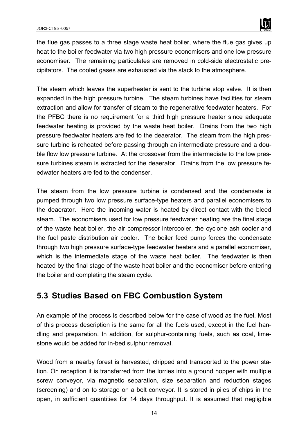the flue gas passes to a three stage waste heat boiler, where the flue gas gives up heat to the boiler feedwater via two high pressure economisers and one low pressure economiser. The remaining particulates are removed in cold-side electrostatic precipitators. The cooled gases are exhausted via the stack to the atmosphere.

The steam which leaves the superheater is sent to the turbine stop valve. It is then expanded in the high pressure turbine. The steam turbines have facilities for steam extraction and allow for transfer of steam to the regenerative feedwater heaters. For the PFBC there is no requirement for a third high pressure heater since adequate feedwater heating is provided by the waste heat boiler. Drains from the two high pressure feedwater heaters are fed to the deaerator. The steam from the high pressure turbine is reheated before passing through an intermediate pressure and a double flow low pressure turbine. At the crossover from the intermediate to the low pressure turbines steam is extracted for the deaerator. Drains from the low pressure feedwater heaters are fed to the condenser.

The steam from the low pressure turbine is condensed and the condensate is pumped through two low pressure surface-type heaters and parallel economisers to the deaerator. Here the incoming water is heated by direct contact with the bleed steam. The economisers used for low pressure feedwater heating are the final stage of the waste heat boiler, the air compressor intercooler, the cyclone ash cooler and the fuel paste distribution air cooler. The boiler feed pump forces the condensate through two high pressure surface-type feedwater heaters and a parallel economiser, which is the intermediate stage of the waste heat boiler. The feedwater is then heated by the final stage of the waste heat boiler and the economiser before entering the boiler and completing the steam cycle.

#### 5.3 Studies Based on FBC Combustion System

An example of the process is described below for the case of wood as the fuel. Most of this process description is the same for all the fuels used, except in the fuel handling and preparation. In addition, for sulphur-containing fuels, such as coal, limestone would be added for in-bed sulphur removal.

Wood from a nearby forest is harvested, chipped and transported to the power station. On reception it is transferred from the lorries into a ground hopper with multiple screw conveyor, via magnetic separation, size separation and reduction stages (screening) and on to storage on a belt conveyor. It is stored in piles of chips in the open, in sufficient quantities for 14 days throughput. It is assumed that negligible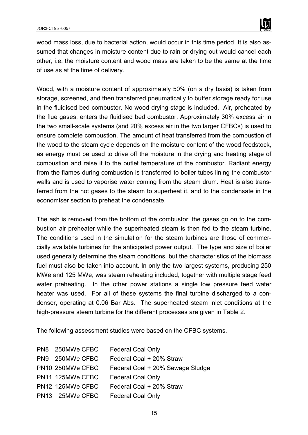wood mass loss, due to bacterial action, would occur in this time period. It is also assumed that changes in moisture content due to rain or drying out would cancel each other, i.e. the moisture content and wood mass are taken to be the same at the time of use as at the time of delivery.

Wood, with a moisture content of approximately 50% (on a dry basis) is taken from storage, screened, and then transferred pneumatically to buffer storage ready for use in the fluidised bed combustor. No wood drying stage is included. Air, preheated by the flue gases, enters the fluidised bed combustor. Approximately 30% excess air in the two small-scale systems (and 20% excess air in the two larger CFBCs) is used to ensure complete combustion. The amount of heat transferred from the combustion of the wood to the steam cycle depends on the moisture content of the wood feedstock, as energy must be used to drive off the moisture in the drying and heating stage of combustion and raise it to the outlet temperature of the combustor. Radiant energy from the flames during combustion is transferred to boiler tubes lining the combustor walls and is used to vaporise water coming from the steam drum. Heat is also transferred from the hot gases to the steam to superheat it, and to the condensate in the economiser section to preheat the condensate.

The ash is removed from the bottom of the combustor; the gases go on to the combustion air preheater while the superheated steam is then fed to the steam turbine. The conditions used in the simulation for the steam turbines are those of commercially available turbines for the anticipated power output. The type and size of boiler used generally determine the steam conditions, but the characteristics of the biomass fuel must also be taken into account. In only the two largest systems, producing 250 MWe and 125 MWe, was steam reheating included, together with multiple stage feed water preheating. In the other power stations a single low pressure feed water heater was used. For all of these systems the final turbine discharged to a condenser, operating at 0.06 Bar Abs. The superheated steam inlet conditions at the high-pressure steam turbine for the different processes are given in Table 2.

The following assessment studies were based on the CFBC systems.

| PN8 250MWe CFBC  | <b>Federal Coal Only</b>         |
|------------------|----------------------------------|
| PN9 250MWe CFBC  | Federal Coal + 20% Straw         |
| PN10 250MWe CFBC | Federal Coal + 20% Sewage Sludge |
| PN11 125MWe CFBC | <b>Federal Coal Only</b>         |
| PN12 125MWe CFBC | Federal Coal + 20% Straw         |
| PN13 25MWe CFBC  | <b>Federal Coal Only</b>         |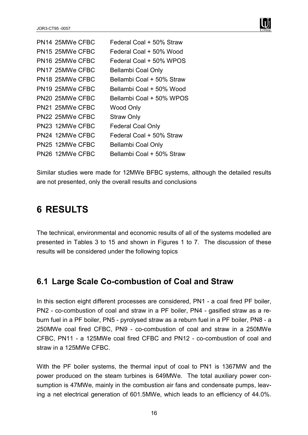

| PN14 25MWe CFBC | Federal Coal + 50% Straw  |
|-----------------|---------------------------|
| PN15 25MWe CFBC | Federal Coal + 50% Wood   |
| PN16 25MWe CFBC | Federal Coal + 50% WPOS   |
| PN17 25MWe CFBC | <b>Bellambi Coal Only</b> |
| PN18 25MWe CFBC | Bellambi Coal + 50% Straw |
| PN19 25MWe CFBC | Bellambi Coal + 50% Wood  |
| PN20 25MWe CFBC | Bellambi Coal + 50% WPOS  |
| PN21 25MWe CFBC | Wood Only                 |
| PN22 25MWe CFBC | <b>Straw Only</b>         |
| PN23 12MWe CFBC | <b>Federal Coal Only</b>  |
| PN24 12MWe CFBC | Federal Coal + 50% Straw  |
| PN25 12MWe CFBC | <b>Bellambi Coal Only</b> |
| PN26 12MWe CFBC | Bellambi Coal + 50% Straw |

Similar studies were made for 12MWe BFBC systems, although the detailed results are not presented, only the overall results and conclusions

## 6 RESULTS

The technical, environmental and economic results of all of the systems modelled are presented in Tables 3 to 15 and shown in Figures 1 to 7. The discussion of these results will be considered under the following topics

#### 6.1 Large Scale Co-combustion of Coal and Straw

In this section eight different processes are considered, PN1 - a coal fired PF boiler, PN2 - co-combustion of coal and straw in a PF boiler, PN4 - gasified straw as a reburn fuel in a PF boiler, PN5 - pyrolysed straw as a reburn fuel in a PF boiler, PN8 - a 250MWe coal fired CFBC, PN9 - co-combustion of coal and straw in a 250MWe CFBC, PN11 - a 125MWe coal fired CFBC and PN12 - co-combustion of coal and straw in a 125MWe CFBC.

With the PF boiler systems, the thermal input of coal to PN1 is 1367MW and the power produced on the steam turbines is 649MWe. The total auxiliary power consumption is 47MWe, mainly in the combustion air fans and condensate pumps, leaving a net electrical generation of 601.5MWe, which leads to an efficiency of 44.0%.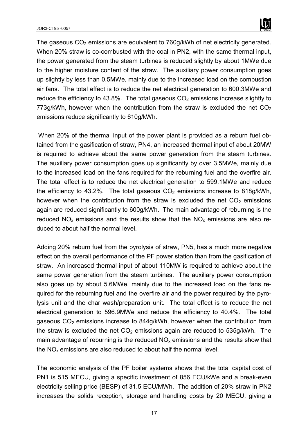The gaseous  $CO<sub>2</sub>$  emissions are equivalent to 760g/kWh of net electricity generated. When 20% straw is co-combusted with the coal in PN2, with the same thermal input, the power generated from the steam turbines is reduced slightly by about 1MWe due to the higher moisture content of the straw. The auxiliary power consumption goes up slightly by less than 0.5MWe, mainly due to the increased load on the combustion air fans. The total effect is to reduce the net electrical generation to 600.3MWe and reduce the efficiency to 43.8%. The total gaseous  $CO<sub>2</sub>$  emissions increase slightly to 773g/kWh, however when the contribution from the straw is excluded the net  $CO<sub>2</sub>$ emissions reduce significantly to 610g/kWh.

 When 20% of the thermal input of the power plant is provided as a reburn fuel obtained from the gasification of straw, PN4, an increased thermal input of about 20MW is required to achieve about the same power generation from the steam turbines. The auxiliary power consumption goes up significantly by over 3.5MWe, mainly due to the increased load on the fans required for the reburning fuel and the overfire air. The total effect is to reduce the net electrical generation to 599.1MWe and reduce the efficiency to 43.2%. The total gaseous  $CO<sub>2</sub>$  emissions increase to 818g/kWh, however when the contribution from the straw is excluded the net  $CO<sub>2</sub>$  emissions again are reduced significantly to 600g/kWh. The main advantage of reburning is the reduced  $NO_x$  emissions and the results show that the  $NO_x$  emissions are also reduced to about half the normal level.

Adding 20% reburn fuel from the pyrolysis of straw, PN5, has a much more negative effect on the overall performance of the PF power station than from the gasification of straw. An increased thermal input of about 110MW is required to achieve about the same power generation from the steam turbines. The auxiliary power consumption also goes up by about 5.6MWe, mainly due to the increased load on the fans required for the reburning fuel and the overfire air and the power required by the pyrolysis unit and the char wash/preparation unit. The total effect is to reduce the net electrical generation to 596.9MWe and reduce the efficiency to 40.4%. The total gaseous  $CO<sub>2</sub>$  emissions increase to 844g/kWh, however when the contribution from the straw is excluded the net  $CO<sub>2</sub>$  emissions again are reduced to 535g/kWh. The main advantage of reburning is the reduced  $NO<sub>x</sub>$  emissions and the results show that the  $NO<sub>x</sub>$  emissions are also reduced to about half the normal level.

The economic analysis of the PF boiler systems shows that the total capital cost of PN1 is 515 MECU, giving a specific investment of 856 ECU/kWe and a break-even electricity selling price (BESP) of 31.5 ECU/MWh. The addition of 20% straw in PN2 increases the solids reception, storage and handling costs by 20 MECU, giving a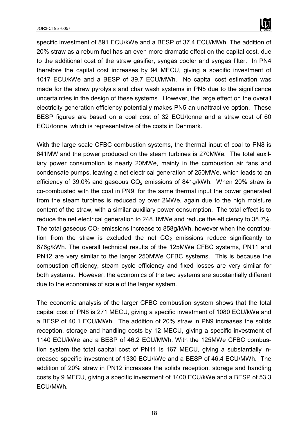specific investment of 891 ECU/kWe and a BESP of 37.4 ECU/MWh. The addition of 20% straw as a reburn fuel has an even more dramatic effect on the capital cost, due to the additional cost of the straw gasifier, syngas cooler and syngas filter. In PN4 therefore the capital cost increases by 94 MECU, giving a specific investment of 1017 ECU/kWe and a BESP of 39.7 ECU/MWh. No capital cost estimation was made for the straw pyrolysis and char wash systems in PN5 due to the significance uncertainties in the design of these systems. However, the large effect on the overall electricity generation efficiency potentially makes PN5 an unattractive option. These BESP figures are based on a coal cost of 32 ECU/tonne and a straw cost of 60 ECU/tonne, which is representative of the costs in Denmark.

With the large scale CFBC combustion systems, the thermal input of coal to PN8 is 641MW and the power produced on the steam turbines is 270MWe. The total auxiliary power consumption is nearly 20MWe, mainly in the combustion air fans and condensate pumps, leaving a net electrical generation of 250MWe, which leads to an efficiency of 39.0% and gaseous  $CO<sub>2</sub>$  emissions of 841g/kWh. When 20% straw is co-combusted with the coal in PN9, for the same thermal input the power generated from the steam turbines is reduced by over 2MWe, again due to the high moisture content of the straw, with a similar auxiliary power consumption. The total effect is to reduce the net electrical generation to 248.1MWe and reduce the efficiency to 38.7%. The total gaseous  $CO<sub>2</sub>$  emissions increase to 858g/kWh, however when the contribution from the straw is excluded the net  $CO<sub>2</sub>$  emissions reduce significantly to 676g/kWh. The overall technical results of the 125MWe CFBC systems, PN11 and PN12 are very similar to the larger 250MWe CFBC systems. This is because the combustion efficiency, steam cycle efficiency and fixed losses are very similar for both systems. However, the economics of the two systems are substantially different due to the economies of scale of the larger system.

The economic analysis of the larger CFBC combustion system shows that the total capital cost of PN8 is 271 MECU, giving a specific investment of 1080 ECU/kWe and a BESP of 40.1 ECU/MWh. The addition of 20% straw in PN9 increases the solids reception, storage and handling costs by 12 MECU, giving a specific investment of 1140 ECU/kWe and a BESP of 46.2 ECU/MWh. With the 125MWe CFBC combustion system the total capital cost of PN11 is 167 MECU, giving a substantially increased specific investment of 1330 ECU/kWe and a BESP of 46.4 ECU/MWh. The addition of 20% straw in PN12 increases the solids reception, storage and handling costs by 9 MECU, giving a specific investment of 1400 ECU/kWe and a BESP of 53.3 ECU/MWh.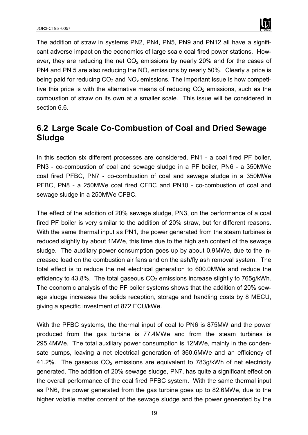The addition of straw in systems PN2, PN4, PN5, PN9 and PN12 all have a significant adverse impact on the economics of large scale coal fired power stations. However, they are reducing the net  $CO<sub>2</sub>$  emissions by nearly 20% and for the cases of PN4 and PN 5 are also reducing the  $NO<sub>x</sub>$  emissions by nearly 50%. Clearly a price is being paid for reducing  $CO<sub>2</sub>$  and  $NO<sub>x</sub>$  emissions. The important issue is how competitive this price is with the alternative means of reducing  $CO<sub>2</sub>$  emissions, such as the combustion of straw on its own at a smaller scale. This issue will be considered in section 6.6

### 6.2 Large Scale Co-Combustion of Coal and Dried Sewage Sludge

In this section six different processes are considered, PN1 - a coal fired PF boiler, PN3 - co-combustion of coal and sewage sludge in a PF boiler, PN6 - a 350MWe coal fired PFBC, PN7 - co-combustion of coal and sewage sludge in a 350MWe PFBC, PN8 - a 250MWe coal fired CFBC and PN10 - co-combustion of coal and sewage sludge in a 250MWe CFBC.

The effect of the addition of 20% sewage sludge, PN3, on the performance of a coal fired PF boiler is very similar to the addition of 20% straw, but for different reasons. With the same thermal input as PN1, the power generated from the steam turbines is reduced slightly by about 1MWe, this time due to the high ash content of the sewage sludge. The auxiliary power consumption goes up by about 0.9MWe, due to the increased load on the combustion air fans and on the ash/fly ash removal system. The total effect is to reduce the net electrical generation to 600.0MWe and reduce the efficiency to 43.8%. The total gaseous  $CO<sub>2</sub>$  emissions increase slightly to 765g/kWh. The economic analysis of the PF boiler systems shows that the addition of 20% sewage sludge increases the solids reception, storage and handling costs by 8 MECU, giving a specific investment of 872 ECU/kWe.

With the PFBC systems, the thermal input of coal to PN6 is 875MW and the power produced from the gas turbine is 77.4MWe and from the steam turbines is 295.4MWe. The total auxiliary power consumption is 12MWe, mainly in the condensate pumps, leaving a net electrical generation of 360.6MWe and an efficiency of 41.2%. The gaseous  $CO<sub>2</sub>$  emissions are equivalent to 783g/kWh of net electricity generated. The addition of 20% sewage sludge, PN7, has quite a significant effect on the overall performance of the coal fired PFBC system. With the same thermal input as PN6, the power generated from the gas turbine goes up to 82.6MWe, due to the higher volatile matter content of the sewage sludge and the power generated by the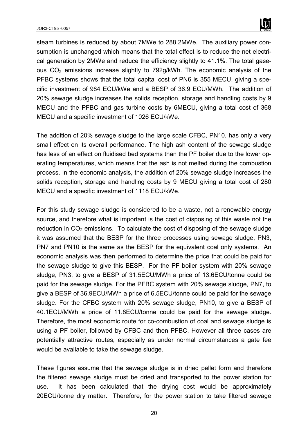steam turbines is reduced by about 7MWe to 288.2MWe. The auxiliary power consumption is unchanged which means that the total effect is to reduce the net electrical generation by 2MWe and reduce the efficiency slightly to 41.1%. The total gaseous  $CO<sub>2</sub>$  emissions increase slightly to 792g/kWh. The economic analysis of the PFBC systems shows that the total capital cost of PN6 is 355 MECU, giving a specific investment of 984 ECU/kWe and a BESP of 36.9 ECU/MWh. The addition of 20% sewage sludge increases the solids reception, storage and handling costs by 9 MECU and the PFBC and gas turbine costs by 6MECU, giving a total cost of 368 MECU and a specific investment of 1026 ECU/kWe.

The addition of 20% sewage sludge to the large scale CFBC, PN10, has only a very small effect on its overall performance. The high ash content of the sewage sludge has less of an effect on fluidised bed systems than the PF boiler due to the lower operating temperatures, which means that the ash is not melted during the combustion process. In the economic analysis, the addition of 20% sewage sludge increases the solids reception, storage and handling costs by 9 MECU giving a total cost of 280 MECU and a specific investment of 1118 ECU/kWe.

For this study sewage sludge is considered to be a waste, not a renewable energy source, and therefore what is important is the cost of disposing of this waste not the reduction in  $CO<sub>2</sub>$  emissions. To calculate the cost of disposing of the sewage sludge it was assumed that the BESP for the three processes using sewage sludge, PN3, PN7 and PN10 is the same as the BESP for the equivalent coal only systems. An economic analysis was then performed to determine the price that could be paid for the sewage sludge to give this BESP. For the PF boiler system with 20% sewage sludge, PN3, to give a BESP of 31.5ECU/MWh a price of 13.6ECU/tonne could be paid for the sewage sludge. For the PFBC system with 20% sewage sludge, PN7, to give a BESP of 36.9ECU/MWh a price of 6.5ECU/tonne could be paid for the sewage sludge. For the CFBC system with 20% sewage sludge, PN10, to give a BESP of 40.1ECU/MWh a price of 11.8ECU/tonne could be paid for the sewage sludge. Therefore, the most economic route for co-combustion of coal and sewage sludge is using a PF boiler, followed by CFBC and then PFBC. However all three cases are potentially attractive routes, especially as under normal circumstances a gate fee would be available to take the sewage sludge.

These figures assume that the sewage sludge is in dried pellet form and therefore the filtered sewage sludge must be dried and transported to the power station for use. It has been calculated that the drying cost would be approximately 20ECU/tonne dry matter. Therefore, for the power station to take filtered sewage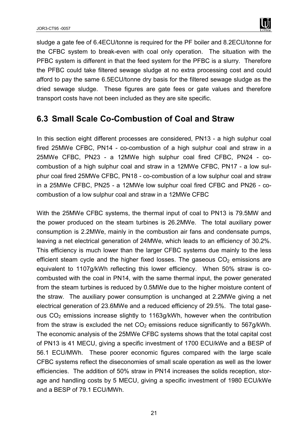sludge a gate fee of 6.4ECU/tonne is required for the PF boiler and 8.2ECU/tonne for the CFBC system to break-even with coal only operation. The situation with the PFBC system is different in that the feed system for the PFBC is a slurry. Therefore the PFBC could take filtered sewage sludge at no extra processing cost and could afford to pay the same 6.5ECU/tonne dry basis for the filtered sewage sludge as the dried sewage sludge. These figures are gate fees or gate values and therefore transport costs have not been included as they are site specific.

### 6.3 Small Scale Co-Combustion of Coal and Straw

In this section eight different processes are considered, PN13 - a high sulphur coal fired 25MWe CFBC, PN14 - co-combustion of a high sulphur coal and straw in a 25MWe CFBC, PN23 - a 12MWe high sulphur coal fired CFBC, PN24 - cocombustion of a high sulphur coal and straw in a 12MWe CFBC, PN17 - a low sulphur coal fired 25MWe CFBC, PN18 - co-combustion of a low sulphur coal and straw in a 25MWe CFBC, PN25 - a 12MWe low sulphur coal fired CFBC and PN26 - cocombustion of a low sulphur coal and straw in a 12MWe CFBC

With the 25MWe CFBC systems, the thermal input of coal to PN13 is 79.5MW and the power produced on the steam turbines is 26.2MWe. The total auxiliary power consumption is 2.2MWe, mainly in the combustion air fans and condensate pumps, leaving a net electrical generation of 24MWe, which leads to an efficiency of 30.2%. This efficiency is much lower than the larger CFBC systems due mainly to the less efficient steam cycle and the higher fixed losses. The gaseous  $CO<sub>2</sub>$  emissions are equivalent to 1107g/kWh reflecting this lower efficiency. When 50% straw is cocombusted with the coal in PN14, with the same thermal input, the power generated from the steam turbines is reduced by 0.5MWe due to the higher moisture content of the straw. The auxiliary power consumption is unchanged at 2.2MWe giving a net electrical generation of 23.6MWe and a reduced efficiency of 29.5%. The total gaseous  $CO<sub>2</sub>$  emissions increase slightly to 1163g/kWh, however when the contribution from the straw is excluded the net  $CO<sub>2</sub>$  emissions reduce significantly to 567g/kWh. The economic analysis of the 25MWe CFBC systems shows that the total capital cost of PN13 is 41 MECU, giving a specific investment of 1700 ECU/kWe and a BESP of 56.1 ECU/MWh. These poorer economic figures compared with the large scale CFBC systems reflect the diseconomies of small scale operation as well as the lower efficiencies. The addition of 50% straw in PN14 increases the solids reception, storage and handling costs by 5 MECU, giving a specific investment of 1980 ECU/kWe and a BESP of 79.1 ECU/MWh.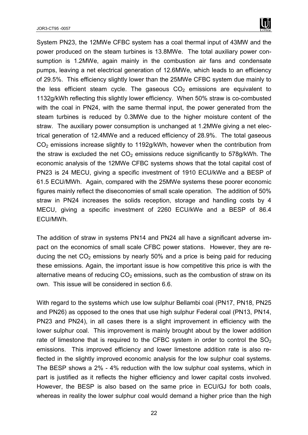System PN23, the 12MWe CFBC system has a coal thermal input of 43MW and the power produced on the steam turbines is 13.8MWe. The total auxiliary power consumption is 1.2MWe, again mainly in the combustion air fans and condensate pumps, leaving a net electrical generation of 12.6MWe, which leads to an efficiency of 29.5%. This efficiency slightly lower than the 25MWe CFBC system due mainly to the less efficient steam cycle. The gaseous  $CO<sub>2</sub>$  emissions are equivalent to 1132g/kWh reflecting this slightly lower efficiency. When 50% straw is co-combusted with the coal in PN24, with the same thermal input, the power generated from the steam turbines is reduced by 0.3MWe due to the higher moisture content of the straw. The auxiliary power consumption is unchanged at 1.2MWe giving a net electrical generation of 12.4MWe and a reduced efficiency of 28.9%. The total gaseous  $CO<sub>2</sub>$  emissions increase slightly to 1192g/kWh, however when the contribution from the straw is excluded the net  $CO<sub>2</sub>$  emissions reduce significantly to 578g/kWh. The economic analysis of the 12MWe CFBC systems shows that the total capital cost of PN23 is 24 MECU, giving a specific investment of 1910 ECU/kWe and a BESP of 61.5 ECU/MWh. Again, compared with the 25MWe systems these poorer economic figures mainly reflect the diseconomies of small scale operation. The addition of 50% straw in PN24 increases the solids reception, storage and handling costs by 4 MECU, giving a specific investment of 2260 ECU/kWe and a BESP of 86.4 ECU/MWh.

The addition of straw in systems PN14 and PN24 all have a significant adverse impact on the economics of small scale CFBC power stations. However, they are reducing the net  $CO<sub>2</sub>$  emissions by nearly 50% and a price is being paid for reducing these emissions. Again, the important issue is how competitive this price is with the alternative means of reducing  $CO<sub>2</sub>$  emissions, such as the combustion of straw on its own. This issue will be considered in section 6.6.

With regard to the systems which use low sulphur Bellambi coal (PN17, PN18, PN25 and PN26) as opposed to the ones that use high sulphur Federal coal (PN13, PN14, PN23 and PN24), in all cases there is a slight improvement in efficiency with the lower sulphur coal. This improvement is mainly brought about by the lower addition rate of limestone that is required to the CFBC system in order to control the  $SO<sub>2</sub>$ emissions. This improved efficiency and lower limestone addition rate is also reflected in the slightly improved economic analysis for the low sulphur coal systems. The BESP shows a 2% - 4% reduction with the low sulphur coal systems, which in part is justified as it reflects the higher efficiency and lower capital costs involved. However, the BESP is also based on the same price in ECU/GJ for both coals, whereas in reality the lower sulphur coal would demand a higher price than the high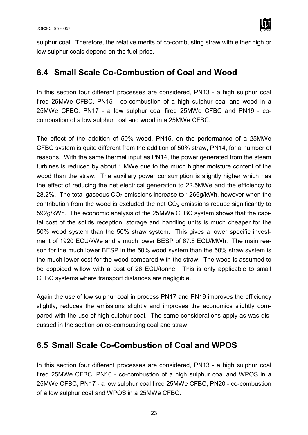

sulphur coal. Therefore, the relative merits of co-combusting straw with either high or low sulphur coals depend on the fuel price.

### 6.4 Small Scale Co-Combustion of Coal and Wood

In this section four different processes are considered, PN13 - a high sulphur coal fired 25MWe CFBC, PN15 - co-combustion of a high sulphur coal and wood in a 25MWe CFBC, PN17 - a low sulphur coal fired 25MWe CFBC and PN19 - cocombustion of a low sulphur coal and wood in a 25MWe CFBC.

The effect of the addition of 50% wood, PN15, on the performance of a 25MWe CFBC system is quite different from the addition of 50% straw, PN14, for a number of reasons. With the same thermal input as PN14, the power generated from the steam turbines is reduced by about 1 MWe due to the much higher moisture content of the wood than the straw. The auxiliary power consumption is slightly higher which has the effect of reducing the net electrical generation to 22.5MWe and the efficiency to 28.2%. The total gaseous  $CO<sub>2</sub>$  emissions increase to 1266g/kWh, however when the contribution from the wood is excluded the net  $CO<sub>2</sub>$  emissions reduce significantly to 592g/kWh. The economic analysis of the 25MWe CFBC system shows that the capital cost of the solids reception, storage and handling units is much cheaper for the 50% wood system than the 50% straw system. This gives a lower specific investment of 1920 ECU/kWe and a much lower BESP of 67.8 ECU/MWh. The main reason for the much lower BESP in the 50% wood system than the 50% straw system is the much lower cost for the wood compared with the straw. The wood is assumed to be coppiced willow with a cost of 26 ECU/tonne. This is only applicable to small CFBC systems where transport distances are negligible.

Again the use of low sulphur coal in process PN17 and PN19 improves the efficiency slightly, reduces the emissions slightly and improves the economics slightly compared with the use of high sulphur coal. The same considerations apply as was discussed in the section on co-combusting coal and straw.

#### 6.5 Small Scale Co-Combustion of Coal and WPOS

In this section four different processes are considered, PN13 - a high sulphur coal fired 25MWe CFBC, PN16 - co-combustion of a high sulphur coal and WPOS in a 25MWe CFBC, PN17 - a low sulphur coal fired 25MWe CFBC, PN20 - co-combustion of a low sulphur coal and WPOS in a 25MWe CFBC.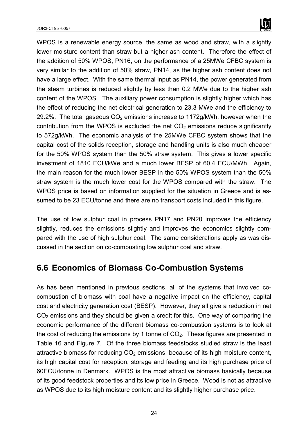WPOS is a renewable energy source, the same as wood and straw, with a slightly lower moisture content than straw but a higher ash content. Therefore the effect of the addition of 50% WPOS, PN16, on the performance of a 25MWe CFBC system is very similar to the addition of 50% straw, PN14, as the higher ash content does not have a large effect. With the same thermal input as PN14, the power generated from the steam turbines is reduced slightly by less than 0.2 MWe due to the higher ash content of the WPOS. The auxiliary power consumption is slightly higher which has the effect of reducing the net electrical generation to 23.3 MWe and the efficiency to 29.2%. The total gaseous  $CO<sub>2</sub>$  emissions increase to 1172g/kWh, however when the contribution from the WPOS is excluded the net  $CO<sub>2</sub>$  emissions reduce significantly to 572g/kWh. The economic analysis of the 25MWe CFBC system shows that the capital cost of the solids reception, storage and handling units is also much cheaper for the 50% WPOS system than the 50% straw system. This gives a lower specific investment of 1810 ECU/kWe and a much lower BESP of 60.4 ECU/MWh. Again, the main reason for the much lower BESP in the 50% WPOS system than the 50% straw system is the much lower cost for the WPOS compared with the straw. The WPOS price is based on information supplied for the situation in Greece and is assumed to be 23 ECU/tonne and there are no transport costs included in this figure.

The use of low sulphur coal in process PN17 and PN20 improves the efficiency slightly, reduces the emissions slightly and improves the economics slightly compared with the use of high sulphur coal. The same considerations apply as was discussed in the section on co-combusting low sulphur coal and straw.

#### 6.6 Economics of Biomass Co-Combustion Systems

As has been mentioned in previous sections, all of the systems that involved cocombustion of biomass with coal have a negative impact on the efficiency, capital cost and electricity generation cost (BESP). However, they all give a reduction in net  $CO<sub>2</sub>$  emissions and they should be given a credit for this. One way of comparing the economic performance of the different biomass co-combustion systems is to look at the cost of reducing the emissions by 1 tonne of  $CO<sub>2</sub>$ . These figures are presented in Table 16 and Figure 7. Of the three biomass feedstocks studied straw is the least attractive biomass for reducing  $CO<sub>2</sub>$  emissions, because of its high moisture content, its high capital cost for reception, storage and feeding and its high purchase price of 60ECU/tonne in Denmark. WPOS is the most attractive biomass basically because of its good feedstock properties and its low price in Greece. Wood is not as attractive as WPOS due to its high moisture content and its slightly higher purchase price.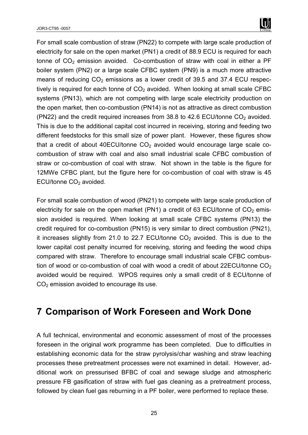For small scale combustion of straw (PN22) to compete with large scale production of electricity for sale on the open market (PN1) a credit of 88.9 ECU is required for each tonne of  $CO<sub>2</sub>$  emission avoided. Co-combustion of straw with coal in either a PF boiler system (PN2) or a large scale CFBC system (PN9) is a much more attractive means of reducing  $CO<sub>2</sub>$  emissions as a lower credit of 39.5 and 37.4 ECU respectively is required for each tonne of  $CO<sub>2</sub>$  avoided. When looking at small scale CFBC systems (PN13), which are not competing with large scale electricity production on the open market, then co-combustion (PN14) is not as attractive as direct combustion (PN22) and the credit required increases from 38.8 to 42.6 ECU/tonne  $CO<sub>2</sub>$  avoided. This is due to the additional capital cost incurred in receiving, storing and feeding two different feedstocks for this small size of power plant. However, these figures show that a credit of about 40ECU/tonne  $CO<sub>2</sub>$  avoided would encourage large scale cocombustion of straw with coal and also small industrial scale CFBC combustion of straw or co-combustion of coal with straw. Not shown in the table is the figure for 12MWe CFBC plant, but the figure here for co-combustion of coal with straw is 45 ECU/tonne  $CO<sub>2</sub>$  avoided.

For small scale combustion of wood (PN21) to compete with large scale production of electricity for sale on the open market (PN1) a credit of 63 ECU/tonne of  $CO<sub>2</sub>$  emission avoided is required. When looking at small scale CFBC systems (PN13) the credit required for co-combustion (PN15) is very similar to direct combustion (PN21), it increases slightly from 21.0 to 22.7 ECU/tonne  $CO<sub>2</sub>$  avoided. This is due to the lower capital cost penalty incurred for receiving, storing and feeding the wood chips compared with straw. Therefore to encourage small industrial scale CFBC combustion of wood or co-combustion of coal with wood a credit of about 22ECU/tonne  $CO<sub>2</sub>$ avoided would be required. WPOS requires only a small credit of 8 ECU/tonne of  $CO<sub>2</sub>$  emission avoided to encourage its use.

## 7 Comparison of Work Foreseen and Work Done

A full technical, environmental and economic assessment of most of the processes foreseen in the original work programme has been completed. Due to difficulties in establishing economic data for the straw pyrolysis/char washing and straw leaching processes these pretreatment processes were not examined in detail. However, additional work on pressurised BFBC of coal and sewage sludge and atmospheric pressure FB gasification of straw with fuel gas cleaning as a pretreatment process, followed by clean fuel gas reburning in a PF boiler, were performed to replace these.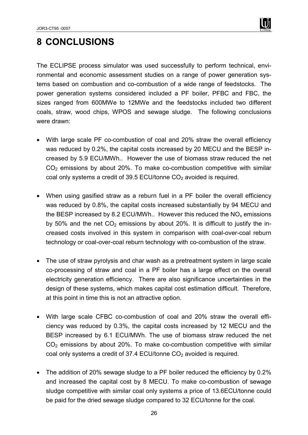

# 8 CONCLUSIONS

The ECLIPSE process simulator was used successfully to perform technical, environmental and economic assessment studies on a range of power generation systems based on combustion and co-combustion of a wide range of feedstocks. The power generation systems considered included a PF boiler, PFBC and FBC, the sizes ranged from 600MWe to 12MWe and the feedstocks included two different coals, straw, wood chips, WPOS and sewage sludge. The following conclusions were drawn:

- With large scale PF co-combustion of coal and 20% straw the overall efficiency was reduced by 0.2%, the capital costs increased by 20 MECU and the BESP increased by 5.9 ECU/MWh.. However the use of biomass straw reduced the net  $CO<sub>2</sub>$  emissions by about 20%. To make co-combustion competitive with similar coal only systems a credit of 39.5 ECU/tonne  $CO<sub>2</sub>$  avoided is required.
- When using gasified straw as a reburn fuel in a PF boiler the overall efficiency was reduced by 0.8%, the capital costs increased substantially by 94 MECU and the BESP increased by 8.2 ECU/MWh.. However this reduced the  $NO<sub>x</sub>$  emissions by 50% and the net  $CO<sub>2</sub>$  emissions by about 20%. It is difficult to justify the increased costs involved in this system in comparison with coal-over-coal reburn technology or coal-over-coal reburn technology with co-combustion of the straw.
- The use of straw pyrolysis and char wash as a pretreatment system in large scale co-processing of straw and coal in a PF boiler has a large effect on the overall electricity generation efficiency. There are also significance uncertainties in the design of these systems, which makes capital cost estimation difficult. Therefore, at this point in time this is not an attractive option.
- With large scale CFBC co-combustion of coal and 20% straw the overall efficiency was reduced by 0.3%, the capital costs increased by 12 MECU and the BESP increased by 6.1 ECU/MWh. The use of biomass straw reduced the net  $CO<sub>2</sub>$  emissions by about 20%. To make co-combustion competitive with similar coal only systems a credit of 37.4 ECU/tonne  $CO<sub>2</sub>$  avoided is required.
- The addition of 20% sewage sludge to a PF boiler reduced the efficiency by 0.2% and increased the capital cost by 8 MECU. To make co-combustion of sewage sludge competitive with similar coal only systems a price of 13.6ECU/tonne could be paid for the dried sewage sludge compared to 32 ECU/tonne for the coal.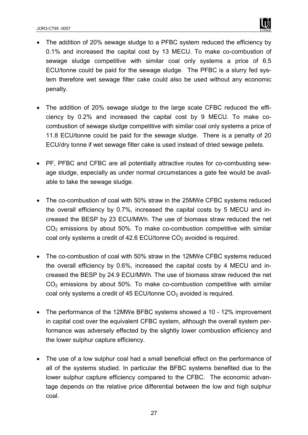- The addition of 20% sewage sludge to a PFBC system reduced the efficiency by 0.1% and increased the capital cost by 13 MECU. To make co-combustion of sewage sludge competitive with similar coal only systems a price of 6.5 ECU/tonne could be paid for the sewage sludge. The PFBC is a slurry fed system therefore wet sewage filter cake could also be used without any economic penalty.
- The addition of 20% sewage sludge to the large scale CFBC reduced the efficiency by 0.2% and increased the capital cost by 9 MECU. To make cocombustion of sewage sludge competitive with similar coal only systems a price of 11.8 ECU/tonne could be paid for the sewage sludge. There is a penalty of 20 ECU/dry tonne if wet sewage filter cake is used instead of dried sewage pellets.
- PF, PFBC and CFBC are all potentially attractive routes for co-combusting sewage sludge, especially as under normal circumstances a gate fee would be available to take the sewage sludge.
- The co-combustion of coal with 50% straw in the 25MWe CFBC systems reduced the overall efficiency by 0.7%, increased the capital costs by 5 MECU and increased the BESP by 23 ECU/MWh. The use of biomass straw reduced the net  $CO<sub>2</sub>$  emissions by about 50%. To make co-combustion competitive with similar coal only systems a credit of 42.6 ECU/tonne  $CO<sub>2</sub>$  avoided is required.
- The co-combustion of coal with 50% straw in the 12MWe CFBC systems reduced the overall efficiency by 0.6%, increased the capital costs by 4 MECU and increased the BESP by 24.9 ECU/MWh. The use of biomass straw reduced the net  $CO<sub>2</sub>$  emissions by about 50%. To make co-combustion competitive with similar coal only systems a credit of 45 ECU/tonne  $CO<sub>2</sub>$  avoided is required.
- The performance of the 12MWe BFBC systems showed a 10 12% improvement in capital cost over the equivalent CFBC system, although the overall system performance was adversely effected by the slightly lower combustion efficiency and the lower sulphur capture efficiency.
- The use of a low sulphur coal had a small beneficial effect on the performance of all of the systems studied. In particular the BFBC systems benefited due to the lower sulphur capture efficiency compared to the CFBC. The economic advantage depends on the relative price differential between the low and high sulphur coal.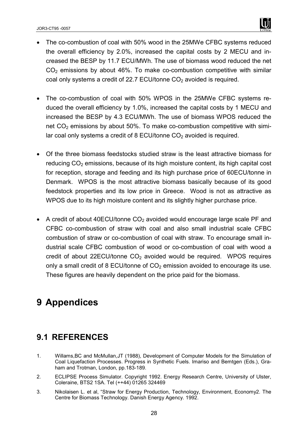- The co-combustion of coal with 50% wood in the 25MWe CFBC systems reduced the overall efficiency by 2.0%, increased the capital costs by 2 MECU and increased the BESP by 11.7 ECU/MWh. The use of biomass wood reduced the net  $CO<sub>2</sub>$  emissions by about 46%. To make co-combustion competitive with similar coal only systems a credit of 22.7 ECU/tonne  $CO<sub>2</sub>$  avoided is required.
- The co-combustion of coal with 50% WPOS in the 25MWe CFBC systems reduced the overall efficiency by 1.0%, increased the capital costs by 1 MECU and increased the BESP by 4.3 ECU/MWh. The use of biomass WPOS reduced the net  $CO<sub>2</sub>$  emissions by about 50%. To make co-combustion competitive with similar coal only systems a credit of 8 ECU/tonne  $CO<sub>2</sub>$  avoided is required.
- Of the three biomass feedstocks studied straw is the least attractive biomass for reducing  $CO<sub>2</sub>$  emissions, because of its high moisture content, its high capital cost for reception, storage and feeding and its high purchase price of 60ECU/tonne in Denmark. WPOS is the most attractive biomass basically because of its good feedstock properties and its low price in Greece. Wood is not as attractive as WPOS due to its high moisture content and its slightly higher purchase price.
- A credit of about 40ECU/tonne  $CO<sub>2</sub>$  avoided would encourage large scale PF and CFBC co-combustion of straw with coal and also small industrial scale CFBC combustion of straw or co-combustion of coal with straw. To encourage small industrial scale CFBC combustion of wood or co-combustion of coal with wood a credit of about 22ECU/tonne  $CO<sub>2</sub>$  avoided would be required. WPOS requires only a small credit of 8 ECU/tonne of  $CO<sub>2</sub>$  emission avoided to encourage its use. These figures are heavily dependent on the price paid for the biomass.

# 9 Appendices

## 9.1 REFERENCES

- 1. Willams,BC and McMullan,JT (1988), Development of Computer Models for the Simulation of Coal Liquefaction Processes. Progress in Synthetic Fuels. Imariso and Bemtgen (Eds.), Graham and Trotman, London, pp.183-189.
- 2. ECLIPSE Process Simulator. Copyright 1992. Energy Research Centre, University of Ulster, Coleraine, BTS2 1SA. Tel (++44) 01265 324469
- 3. Nikolaisen L. et al, "Straw for Energy Production, Technology, Environment, Economy2. The Centre for Biomass Technology. Danish Energy Agency. 1992.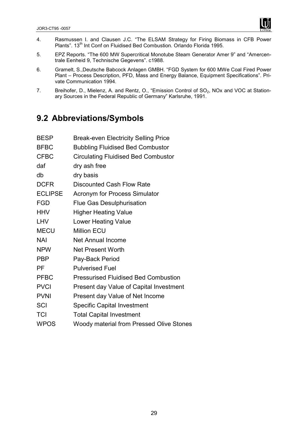

- 4. Rasmussen I. and Clausen J.C. "The ELSAM Strategy for Firing Biomass in CFB Power Plants". 13<sup>th</sup> Int Conf on Fluidised Bed Combustion. Orlando Florida 1995.
- 5. EPZ Reports. "The 600 MW Supercritical Monotube Steam Generator Amer 9" and "Amercentrale Eenheid 9, Technische Gegevens". c1988.
- 6. Gramelt, S.,Deutsche Babcock Anlagen GMBH. "FGD System for 600 MWe Coal Fired Power Plant – Process Description, PFD, Mass and Energy Balance, Equipment Specifications". Private Communication 1994.
- 7. Breihofer, D., Mielenz, A. and Rentz, O., "Emission Control of SO<sub>2</sub>, NOx and VOC at Stationary Sources in the Federal Republic of Germany" Karlsruhe, 1991.

#### 9.2 Abbreviations/Symbols

| <b>BESP</b>    | <b>Break-even Electricity Selling Price</b>     |
|----------------|-------------------------------------------------|
| <b>BFBC</b>    | <b>Bubbling Fluidised Bed Combustor</b>         |
| <b>CFBC</b>    | <b>Circulating Fluidised Bed Combustor</b>      |
| daf            | dry ash free                                    |
| db             | dry basis                                       |
| <b>DCFR</b>    | <b>Discounted Cash Flow Rate</b>                |
| <b>ECLIPSE</b> | <b>Acronym for Process Simulator</b>            |
| <b>FGD</b>     | <b>Flue Gas Desulphurisation</b>                |
| <b>HHV</b>     | <b>Higher Heating Value</b>                     |
| <b>LHV</b>     | Lower Heating Value                             |
| <b>MECU</b>    | <b>Million ECU</b>                              |
| <b>NAI</b>     | <b>Net Annual Income</b>                        |
| <b>NPW</b>     | <b>Net Present Worth</b>                        |
| <b>PBP</b>     | Pay-Back Period                                 |
| PF             | <b>Pulverised Fuel</b>                          |
| <b>PFBC</b>    | <b>Pressurised Fluidised Bed Combustion</b>     |
| <b>PVCI</b>    | Present day Value of Capital Investment         |
| <b>PVNI</b>    | Present day Value of Net Income                 |
| SCI            | <b>Specific Capital Investment</b>              |
| TCI            | <b>Total Capital Investment</b>                 |
| <b>WPOS</b>    | <b>Woody material from Pressed Olive Stones</b> |
|                |                                                 |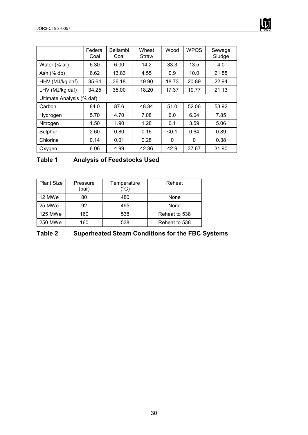|                           | Federal<br>Coal | <b>Bellambi</b><br>Coal | Wheat<br>Straw | Wood  | <b>WPOS</b> | Sewage<br>Sludge |
|---------------------------|-----------------|-------------------------|----------------|-------|-------------|------------------|
| Water (% ar)              | 6.30            | 6.00                    | 14.2           | 33.3  | 13.5        | 4.0              |
| Ash $(%$ db)              | 6.62            | 13.83                   | 4.55           | 0.9   | 10.0        | 21.88            |
| HHV (MJ/kg daf)           | 35.64           | 36.18                   | 19.90          | 18.73 | 20.89       | 22.94            |
| LHV (MJ/kg daf)           | 34.25           | 35.00                   | 18.20          | 17.37 | 19.77       | 21.13            |
| Ultimate Analysis (% daf) |                 |                         |                |       |             |                  |
| Carbon                    | 84.0            | 87.6                    | 48.84          | 51.0  | 52.06       | 53.92            |
| Hydrogen                  | 5.70            | 4.70                    | 7.08           | 6.0   | 6.04        | 7.85             |
| Nitrogen                  | 1.50            | 1.90                    | 1.28           | 0.1   | 3.59        | 5.06             |
| Sulphur                   | 2.60            | 0.80                    | 0.16           | < 0.1 | 0.64        | 0.89             |
| Chlorine                  | 0.14            | 0.01                    | 0.28           | 0     | $\Omega$    | 0.38             |
| Oxygen                    | 6.06            | 4.99                    | 42.36          | 42.9  | 37.67       | 31.90            |

Table 1 Analysis of Feedstocks Used

| Plant Size | Pressure<br>(bar) | Temperature<br>(°C | Reheat        |
|------------|-------------------|--------------------|---------------|
| 12 MWe     | 80                | 480                | None          |
| 25 MWe     | 92                | 495                | None          |
| 125 MWe    | 160               | 538                | Reheat to 538 |
| 250 MWe    | 160               | 538                | Reheat to 538 |

| Table 2 |  |  | <b>Superheated Steam Conditions for the FBC Systems</b> |
|---------|--|--|---------------------------------------------------------|
|---------|--|--|---------------------------------------------------------|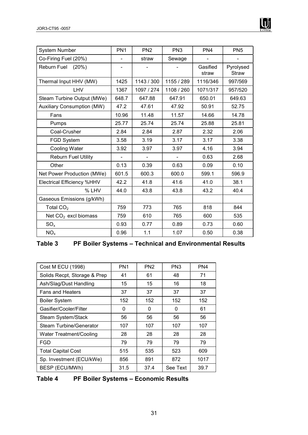| System Number                     | PN <sub>1</sub> | PN <sub>2</sub> | PN <sub>3</sub> | PN <sub>4</sub> | PN <sub>5</sub> |
|-----------------------------------|-----------------|-----------------|-----------------|-----------------|-----------------|
| Co-Firing Fuel (20%)              |                 | straw           | Sewage          |                 |                 |
| Reburn Fuel (20%)                 |                 |                 |                 | Gasified        | Pyrolysed       |
|                                   |                 |                 |                 | straw           | Straw           |
| Thermal Input HHV (MW)            | 1425            | 1143 / 300      | 1155 / 289      | 1116/346        | 997/569         |
| <b>LHV</b>                        | 1367            | 1097 / 274      | 1108 / 260      | 1071/317        | 957/520         |
| Steam Turbine Output (MWe)        | 648.7           | 647.88          | 647.91          | 650.01          | 649.63          |
| <b>Auxiliary Consumption (MW)</b> | 47.2            | 47.61           | 47.92           | 50.91           | 52.75           |
| Fans                              | 10.96           | 11.48           | 11.57           | 14.66           | 14.78           |
| Pumps                             | 25.77           | 25.74           | 25.74           | 25.88           | 25.81           |
| Coal-Crusher                      | 2.84            | 2.84            | 2.87            | 2.32            | 2.06            |
| FGD System                        | 3.58            | 3.19            | 3.17            | 3.17            | 3.38            |
| <b>Cooling Water</b>              | 3.92            | 3.97            | 3.97            | 4.16            | 3.94            |
| Reburn Fuel Utility               |                 |                 |                 | 0.63            | 2.68            |
| Other                             | 0.13            | 0.39            | 0.63            | 0.09            | 0.10            |
| Net Power Production (MWe)        | 601.5           | 600.3           | 600.0           | 599.1           | 596.9           |
| <b>Electrical Efficiency %HHV</b> | 42.2            | 41.8            | 41.6            | 41.0            | 38.1            |
| % LHV                             | 44.0            | 43.8            | 43.8            | 43.2            | 40.4            |
| Gaseous Emissions (g/kWh)         |                 |                 |                 |                 |                 |
| Total $CO2$                       | 759             | 773             | 765             | 818             | 844             |
| Net CO <sub>2</sub> excl biomass  | 759             | 610             | 765             | 600             | 535             |
| $SO_{x}$                          | 0.93            | 0.77            | 0.89            | 0.73            | 0.60            |
| NO <sub>x</sub>                   | 0.96            | 1.1             | 1.07            | 0.50            | 0.38            |

 $\overline{\mathbf{U}}$ 

| Table 3<br><b>PF Boiler Systems - Technical and Environmental Results</b> |
|---------------------------------------------------------------------------|
|---------------------------------------------------------------------------|

| <b>Cost M ECU (1998)</b>       | PN <sub>1</sub> | PN <sub>2</sub> | PN <sub>3</sub> | PN <sub>4</sub> |
|--------------------------------|-----------------|-----------------|-----------------|-----------------|
| Solids Recpt, Storage & Prep   | 41              | 61              | 48              | 71              |
| Ash/Slag/Dust Handling         | 15              | 15              | 16              | 18              |
| <b>Fans and Heaters</b>        | 37              | 37              | 37              | 37              |
| <b>Boiler System</b>           | 152             | 152             | 152             | 152             |
| Gasifier/Cooler/Filter         | 0               | 0               | 0               | 61              |
| Steam System/Stack             | 56              | 56              | 56              | 56              |
| <b>Steam Turbine/Generator</b> | 107             | 107             | 107             | 107             |
| Water Treatment/Cooling        | 28              | 28              | 28              | 28              |
| FGD                            | 79              | 79              | 79              | 79              |
| <b>Total Capital Cost</b>      | 515             | 535             | 523             | 609             |
| Sp. Investment (ECU/kWe)       | 856             | 891             | 872             | 1017            |
| BESP (ECU/MWh)                 | 31.5            | 37.4            | See Text        | 39.7            |

| Table 4 |  | <b>PF Boiler Systems - Economic Results</b> |
|---------|--|---------------------------------------------|
|---------|--|---------------------------------------------|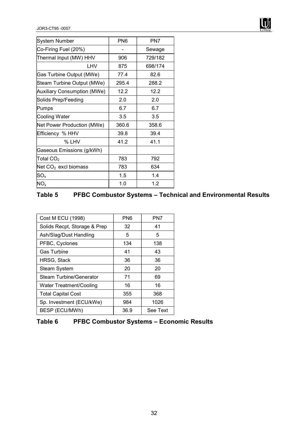JOR3-CT95 -0057

| System Number               | PN <sub>6</sub> | PN7     |
|-----------------------------|-----------------|---------|
| Co-Firing Fuel (20%)        |                 | Sewage  |
| Thermal Input (MW) HHV      | 906             | 729/182 |
| LHV                         | 875             | 698/174 |
| Gas Turbine Output (MWe)    | 77.4            | 82.6    |
| Steam Turbine Output (MWe)  | 295.4           | 288.2   |
| Auxiliary Consumption (MWe) | 12.2            | 12.2    |
| Solids Prep/Feeding         | 2.0             | 2.0     |
| Pumps                       | 6.7             | 6.7     |
| Cooling Water               | 3.5             | 3.5     |
| Net Power Production (MWe)  | 360.6           | 358.6   |
| Efficiency % HHV            | 39.8            | 39.4    |
| % LHV                       | 41.2            | 41.1    |
| Gaseous Emissions (g/kWh)   |                 |         |
| Total CO $_2$               | 783             | 792     |
| Net $CO2$ excl biomass      | 783             | 634     |
| $\text{SO}_\text{x}$        | 1.5             | 1.4     |
| NO <sub>x</sub>             | 1.0             | 1.2     |

Table 5 PFBC Combustor Systems – Technical and Environmental Results

U

| <b>Cost M ECU (1998)</b>       | PN <sub>6</sub> | PN7      |
|--------------------------------|-----------------|----------|
| Solids Recpt, Storage & Prep   | 32              | 41       |
| Ash/Slag/Dust Handling         | 5               | 5        |
| PFBC, Cyclones                 | 134             | 138      |
| <b>Gas Turbine</b>             | 41              | 43       |
| HRSG, Stack                    | 36              | 36       |
| <b>Steam System</b>            | 20              | 20       |
| <b>Steam Turbine/Generator</b> | 71              | 69       |
| Water Treatment/Cooling        | 16              | 16       |
| <b>Total Capital Cost</b>      | 355             | 368      |
| Sp. Investment (ECU/kWe)       | 984             | 1026     |
| BESP (ECU/MWh)                 | 36.9            | See Text |

Table 6 PFBC Combustor Systems – Economic Results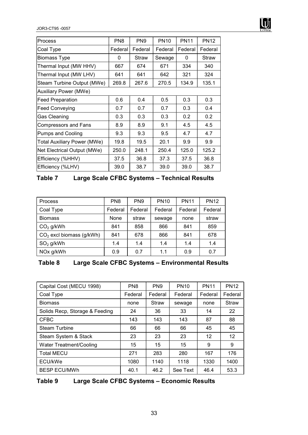| Process                            | PN <sub>8</sub> | PN <sub>9</sub> | <b>PN10</b> | <b>PN11</b> | <b>PN12</b>  |
|------------------------------------|-----------------|-----------------|-------------|-------------|--------------|
| Coal Type                          | Federal         | Federal         | Federal     | Federal     | Federal      |
| <b>Biomass Type</b>                | 0               | Straw           | Sewage      | $\Omega$    | <b>Straw</b> |
| Thermal Input (MW HHV)             | 667             | 674             | 671         | 334         | 340          |
| Thermal Input (MW LHV)             | 641             | 641             | 642         | 321         | 324          |
| Steam Turbine Output (MWe)         | 269.8           | 267.6           | 270.5       | 134.9       | 135.1        |
| Auxiliary Power (MWe)              |                 |                 |             |             |              |
| <b>Feed Preparation</b>            | 0.6             | 0.4             | 0.5         | 0.3         | 0.3          |
| <b>Feed Conveying</b>              | 0.7             | 0.7             | 0.7         | 0.3         | 0.4          |
| Gas Cleaning                       | 0.3             | 0.3             | 0.3         | 0.2         | 0.2          |
| <b>Compressors and Fans</b>        | 8.9             | 8.9             | 9.1         | 4.5         | 4.5          |
| Pumps and Cooling                  | 9.3             | 9.3             | 9.5         | 4.7         | 4.7          |
| <b>Total Auxiliary Power (MWe)</b> | 19.8            | 19.5            | 20.1        | 9.9         | 9.9          |
| Net Electrical Output (MWe)        | 250.0           | 248.1           | 250.4       | 125.0       | 125.2        |
| Efficiency (%HHV)                  | 37.5            | 36.8            | 37.3        | 37.5        | 36.8         |
| Efficiency (%LHV)                  | 39.0            | 38.7            | 39.0        | 39.0        | 38.7         |
|                                    |                 |                 |             |             |              |

#### Table 7 Large Scale CFBC Systems – Technical Results

| <b>Process</b>             | PN <sub>8</sub> | PN <sub>9</sub> | <b>PN10</b> | <b>PN11</b> | <b>PN12</b> |
|----------------------------|-----------------|-----------------|-------------|-------------|-------------|
| Coal Type                  | Federal         | Federal         | Federal     | Federal     | Federal     |
| <b>Biomass</b>             | None            | straw           | sewage      | none        | straw       |
| CO <sub>2</sub> g/kWh      | 841             | 858             | 866         | 841         | 859         |
| $CO2$ excl biomass (g/kWh) | 841             | 678             | 866         | 841         | 678         |
| SO <sub>2</sub> g/kWh      | 1.4             | 1.4             | 1.4         | 1.4         | 1.4         |
| NO <sub>x</sub> g/kWh      | 0.9             | 0.7             | 1.1         | 0.9         | 0.7         |

#### Table 8 Large Scale CFBC Systems – Environmental Results

| Capital Cost (MECU 1998)       | PN <sub>8</sub> | PN <sub>9</sub> | <b>PN10</b> | <b>PN11</b> | <b>PN12</b> |
|--------------------------------|-----------------|-----------------|-------------|-------------|-------------|
| Coal Type                      | Federal         | Federal         | Federal     | Federal     | Federal     |
| <b>Biomass</b>                 | none            | Straw           | sewage      | none        | Straw       |
| Solids Recp, Storage & Feeding | 24              | 36              | 33          | 14          | 22          |
| <b>CFBC</b>                    | 143             | 143             | 143         | 87          | 88          |
| Steam Turbine                  | 66              | 66              | 66          | 45          | 45          |
| Steam System & Stack           | 23              | 23              | 23          | 12          | 12          |
| Water Treatment/Cooling        | 15              | 15              | 15          | 9           | 9           |
| <b>Total MECU</b>              | 271             | 283             | 280         | 167         | 176         |
| ECU/kWe                        | 1080            | 1140            | 1118        | 1330        | 1400        |
| <b>BESP ECU/MWh</b>            | 40.1            | 46.2            | See Text    | 46.4        | 53.3        |

#### Table 9 Large Scale CFBC Systems – Economic Results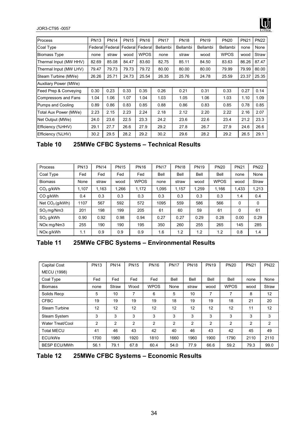JOR3-CT95 -0057

| Process                | <b>PN13</b> | <b>PN14</b> | <b>PN15</b> | <b>PN16</b>                           | <b>PN17</b> | <b>PN18</b> | <b>PN19</b>     | <b>PN20</b> | <b>PN21</b> | <b>PN22</b>  |  |  |
|------------------------|-------------|-------------|-------------|---------------------------------------|-------------|-------------|-----------------|-------------|-------------|--------------|--|--|
| Coal Type              |             |             |             | Federal   Federal   Federal   Federal | Bellambi    | Bellambi    | <b>Bellambi</b> | Bellambi    | none        | None         |  |  |
| <b>Biomass Type</b>    | none        | straw       | wood        | <b>WPOS</b>                           | none        | straw       | wood            | <b>WPOS</b> | wood        | <b>Straw</b> |  |  |
| Thermal Input (MW HHV) | 82.69       | 85.08       | 84.47       | 83.60                                 | 82.75       | 85.11       | 84.50           | 83.63       | 86.26       | 87.47        |  |  |
| Thermal Input (MW LHV) | 79.47       | 79.73       | 79.73       | 79.72                                 | 80.00       | 80.00       | 80.00           | 79.99       | 79.99       | 80.00        |  |  |
| Steam Turbine (MWe)    | 26.26       | 25.71       | 24.73       | 25.54                                 | 26.35       | 25.76       | 24.78           | 25.59       | 23.37       | 25.35        |  |  |
| Auxiliary Power (MWe)  |             |             |             |                                       |             |             |                 |             |             |              |  |  |
| Feed Prep & Conveying  | 0.30        | 0.23        | 0.33        | 0.35                                  | 0.26        | 0.21        | 0.31            | 0.33        | 0.27        | 0.14         |  |  |
| Compressors and Fans   | 1.04        | 1.06        | 1.07        | 1.04                                  | 1.03        | 1.05        | 1.06            | 1.03        | 1.10        | 1.09         |  |  |
| Pumps and Cooling      | 0.89        | 0.86        | 0.83        | 0.85                                  | 0.88        | 0.86        | 0.83            | 0.85        | 0.78        | 0.85         |  |  |
| Total Aux Power (MWe)  | 2.23        | 2.15        | 2.23        | 2.24                                  | 2.18        | 2.12        | 2.20            | 2.22        | 2.16        | 2.07         |  |  |
| Net Output (MWe)       | 24.0        | 23.6        | 22.5        | 23.3                                  | 24.2        | 23.6        | 22.6            | 23.4        | 21.2        | 23.3         |  |  |
| Efficiency (%HHV)      | 29.1        | 27.7        | 26.6        | 27.9                                  | 29.2        | 27.8        | 26.7            | 27.9        | 24.6        | 26.6         |  |  |
| Efficiency (%LHV)      | 30.2        | 29.5        | 28.2        | 29.2                                  | 30.2        | 29.6        | 28.2            | 29.2        | 26.5        | 29.1         |  |  |

#### Table 10 25MWe CFBC Systems – Technical Results

| Process                            | <b>PN13</b> | <b>PN14</b> | <b>PN15</b> | <b>PN16</b> | <b>PN17</b> | <b>PN18</b> | <b>PN19</b> | <b>PN20</b> | <b>PN21</b> | <b>PN22</b> |
|------------------------------------|-------------|-------------|-------------|-------------|-------------|-------------|-------------|-------------|-------------|-------------|
| Coal Type                          | Fed         | Fed         | Fed         | Fed         | Bell        | Bell        | Bell        | Bell        | none        | None        |
| <b>Biomass</b>                     | None        | straw       | wood        | <b>WPOS</b> | none        | straw       | wood        | <b>WPOS</b> | wood        | Straw       |
| CO <sub>2</sub> g/kWh              | 1.107       | 1,163       | 1,266       | 1,172       | 1.095       | 1,157       | 1.259       | 1,166       | 1.433       | 1,213       |
| CO g/kWh                           | 0.4         | 0.3         | 0.3         | 0.3         | 0.3         | 0.3         | 0.3         | 0.3         | 1.4         | 0.4         |
| Net $CO2$ (g/kWh)                  | 1107        | 567         | 592         | 572         | 1095        | 559         | 586         | 566         | 0           | 0           |
| $SO2$ mg/Nm3                       | 201         | 198         | 199         | 205         | 61          | 60          | 59          | 61          | 0           | 61          |
| SO <sub>2</sub> g/kWh              | 0.90        | 0.92        | 0.98        | 0.94        | 0.27        | 0.27        | 0.29        | 0.28        | 0.00        | 0.29        |
| NO <sub>x</sub> mg/N <sub>m3</sub> | 255         | 190         | 190         | 195         | 350         | 260         | 255         | 265         | 145         | 285         |
| NOx q/kWh                          | 1.1         | 0.9         | 0.9         | 0.9         | 1.6         | 1.2         | 1.2         | 1.2         | 0.8         | 1.4         |

Table 11 25MWe CFBC Systems – Environmental Results

| <b>Capital Cost</b>  | <b>PN13</b> | <b>PN14</b> | <b>PN15</b>    | <b>PN16</b> | <b>PN17</b> | <b>PN18</b>    | <b>PN19</b>    | <b>PN20</b> | <b>PN21</b>    | <b>PN22</b> |
|----------------------|-------------|-------------|----------------|-------------|-------------|----------------|----------------|-------------|----------------|-------------|
| <b>MECU (1998)</b>   |             |             |                |             |             |                |                |             |                |             |
| Coal Type            | Fed         | Fed         | Fed            | Fed         | Bell        | Bell           | <b>Bell</b>    | Bell        | none           | None        |
| <b>Biomass</b>       | none        | Straw       | Wood           | <b>WPOS</b> | None        | straw          | wood           | <b>WPOS</b> | wood           | Straw       |
| Solids Recp          | 5           | 10          | 7              | 6           | 5           | 10             | 7              | 7           | 8              | 12          |
| <b>CFBC</b>          | 19          | 19          | 19             | 19          | 18          | 19             | 19             | 18          | 21             | 20          |
| <b>Steam Turbine</b> | 12          | 12          | 12             | 12          | 12          | 12             | 12             | 12          | 11             | 12          |
| Steam System         | 3           | 3           | 3              | 3           | 3           | 3              | 3              | 3           | 3              | 3           |
| Water Treat/Cool     | 2           | 2           | $\overline{2}$ | 2           | 2           | $\overline{2}$ | $\overline{2}$ | 2           | $\overline{2}$ | 2           |
| <b>Total MECU</b>    | 41          | 46          | 43             | 42          | 40          | 46             | 43             | 42          | 45             | 49          |
| ECU/kWe              | 1700        | 1980        | 1920           | 1810        | 1660        | 1960           | 1900           | 1790        | 2110           | 2110        |
| <b>BESP ECU/MWh</b>  | 56.1        | 79.1        | 67.8           | 60.4        | 54.0        | 77.9           | 66.6           | 59.2        | 79.3           | 99.0        |

| Table 12 | 25MWe CFBC Systems - Economic Results |
|----------|---------------------------------------|
|----------|---------------------------------------|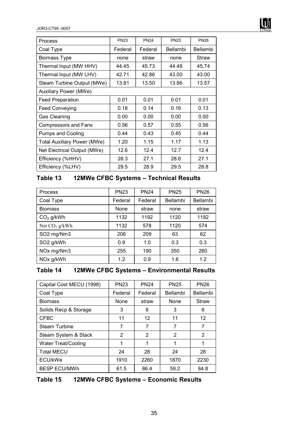| <b>Process</b>                     | <b>PN23</b> | <b>PN24</b> | <b>PN25</b>     | <b>PN26</b> |  |  |  |  |
|------------------------------------|-------------|-------------|-----------------|-------------|--|--|--|--|
| Coal Type                          | Federal     | Federal     | <b>Bellambi</b> | Bellambi    |  |  |  |  |
| Biomass Type                       | none        | straw       | none            | Straw       |  |  |  |  |
| Thermal Input (MW HHV)             | 44.45       | 45.73       | 44.48           | 45.74       |  |  |  |  |
| Thermal Input (MW LHV)             | 42.71       | 42.86       | 43.00           | 43.00       |  |  |  |  |
| Steam Turbine Output (MWe)         | 13.81       | 13.50       | 13.86           | 13.57       |  |  |  |  |
| <b>Auxiliary Power (MWe)</b>       |             |             |                 |             |  |  |  |  |
| <b>Feed Preparation</b>            | 0.01        | 0.01        | 0.01            | 0.01        |  |  |  |  |
| <b>Feed Conveying</b>              | 0.18        | 0.14        | 0.16            | 0.13        |  |  |  |  |
| <b>Gas Cleaning</b>                | 0.00        | 0.00        | 0.00            | 0.00        |  |  |  |  |
| <b>Compressors and Fans</b>        | 0.56        | 0.57        | 0.55            | 0.56        |  |  |  |  |
| <b>Pumps and Cooling</b>           | 0.44        | 0.43        | 0.45            | 0.44        |  |  |  |  |
| <b>Total Auxiliary Power (MWe)</b> | 1.20        | 1.15        | 1.17            | 1.13        |  |  |  |  |
|                                    |             |             |                 |             |  |  |  |  |

Net Electrical Output (MWe) | 12.6 | 12.4 | 12.7 | 12.4 Efficiency (%HHV) 28.3 | 27.1 | 28.6 | 27.1 Efficiency (%LHV) 29.5 28.9 28.9 29.5 28.8

#### Table 13 12MWe CFBC Systems – Technical Results

| Process                            | <b>PN23</b> | <b>PN24</b> | <b>PN25</b>     | <b>PN26</b>     |
|------------------------------------|-------------|-------------|-----------------|-----------------|
| Coal Type                          | Federal     | Federal     | <b>Bellambi</b> | <b>Bellambi</b> |
| <b>Biomass</b>                     | None        | straw       | none            | straw           |
| CO <sub>2</sub> g/kWh              | 1132        | 1192        | 1120            | 1182            |
| Net $CO2 g/kWh$                    | 1132        | 578         | 1120            | 574             |
| SO2 mg/Nm3                         | 206         | 209         | 63              | 62              |
| SO <sub>2</sub> g/kWh              | 0.9         | 1.0         | 0.3             | 0.3             |
| NO <sub>x</sub> mg/N <sub>m3</sub> | 255         | 190         | 350             | 260             |
| NO <sub>x</sub> g/kWh              | 1.2         | 0.9         | 1.6             | 1.2             |

#### Table 14 12MWe CFBC Systems – Environmental Results

| Capital Cost MECU (1998)   | <b>PN23</b> | <b>PN24</b> | <b>PN25</b> | <b>PN26</b>       |
|----------------------------|-------------|-------------|-------------|-------------------|
| Coal Type                  | Federal     | Federal     | Bellambi    | Bellambi          |
| <b>Biomass</b>             | None        | straw       | None        | <b>Straw</b>      |
| Solids Recp & Storage      | 3           | 6           | 3           | 6                 |
| <b>CFBC</b>                | 11          | 12          | 11          | $12 \overline{ }$ |
| <b>Steam Turbine</b>       | 7           | 7           | 7           | 7                 |
| Steam System & Stack       | 2           | 2           | 2           | 2                 |
| <b>Water Treat/Cooling</b> |             | 1           | 1           |                   |
| <b>Total MECU</b>          | 24          | 28          | 24          | 28                |
| ECU/kWe                    | 1910        | 2260        | 1870        | 2230              |
| <b>BESP ECU/MWh</b>        | 61.5        | 86.4        | 59.2        | 84.8              |

Table 15 12MWe CFBC Systems – Economic Results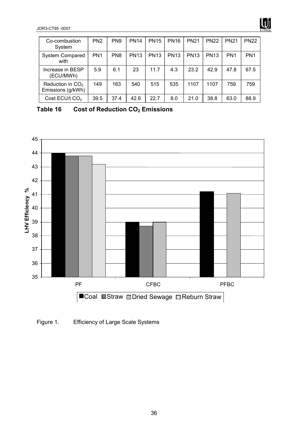| Co-combustion<br>System                 | PN <sub>2</sub> | PN <sub>9</sub> | <b>PN14</b> | <b>PN15</b> | <b>PN16</b> | <b>PN21</b> | <b>PN22</b> | <b>PN21</b>     | <b>PN22</b>     |
|-----------------------------------------|-----------------|-----------------|-------------|-------------|-------------|-------------|-------------|-----------------|-----------------|
| <b>System Compared</b><br>with          | PN <sub>1</sub> | PN <sub>8</sub> | <b>PN13</b> | <b>PN13</b> | <b>PN13</b> | <b>PN13</b> | <b>PN13</b> | PN <sub>1</sub> | PN <sub>1</sub> |
| Increase in BESP<br>(ECU/MWh)           | 5.9             | 6.1             | 23          | 11.7        | 4.3         | 23.2        | 42.9        | 47.8            | 67.5            |
| Reduction in $CO2$<br>Emissions (g/kWh) | 149             | 163             | 540         | 515         | 535         | 1107        | 1107        | 759             | 759             |
| Cost ECU/t $CO2$                        | 39.5            | 37.4            | 42.6        | 22.7        | 8.0         | 21.0        | 38.8        | 63.0            | 88.9            |

Table 16 Cost of Reduction  $CO<sub>2</sub>$  Emissions



Figure 1. Efficiency of Large Scale Systems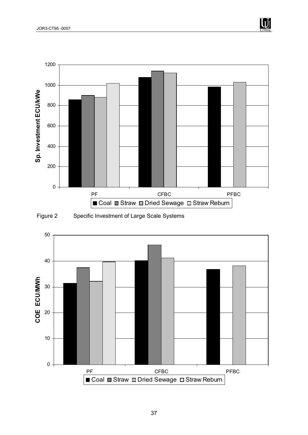





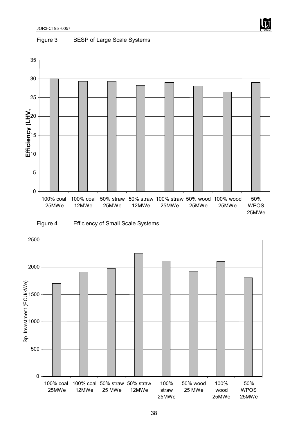







 $\Pi$